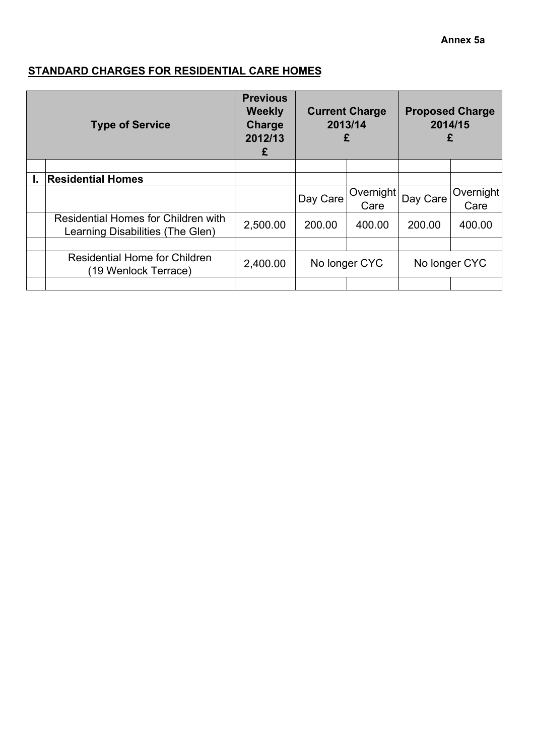# **STANDARD CHARGES FOR RESIDENTIAL CARE HOMES**

| <b>Type of Service</b> |                                                                         | <b>Previous</b><br><b>Weekly</b><br>Charge<br>2012/13<br>£ | <b>Current Charge</b><br>2013/14<br>£ |                   | 2014/15  | <b>Proposed Charge</b><br>£ |
|------------------------|-------------------------------------------------------------------------|------------------------------------------------------------|---------------------------------------|-------------------|----------|-----------------------------|
|                        |                                                                         |                                                            |                                       |                   |          |                             |
|                        | <b>Residential Homes</b>                                                |                                                            |                                       |                   |          |                             |
|                        |                                                                         |                                                            | Day Care                              | Overnight<br>Care | Day Care | Overnight<br>Care           |
|                        | Residential Homes for Children with<br>Learning Disabilities (The Glen) | 2,500.00                                                   | 200.00                                | 400.00            | 200.00   | 400.00                      |
|                        |                                                                         |                                                            |                                       |                   |          |                             |
|                        | <b>Residential Home for Children</b><br>(19 Wenlock Terrace)            | 2,400.00                                                   | No longer CYC                         |                   |          | No longer CYC               |
|                        |                                                                         |                                                            |                                       |                   |          |                             |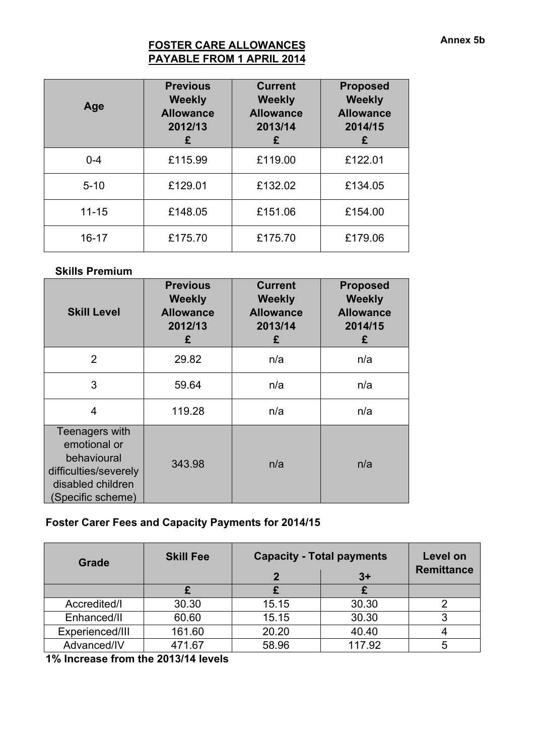## **FOSTER CARE ALLOWANCES PAYABLE FROM 1 APRIL 2014**

| Age       | <b>Previous</b><br><b>Weekly</b><br><b>Allowance</b><br>2012/13<br>£ | <b>Current</b><br><b>Weekly</b><br><b>Allowance</b><br>2013/14<br>£ | <b>Proposed</b><br><b>Weekly</b><br><b>Allowance</b><br>2014/15<br>£ |
|-----------|----------------------------------------------------------------------|---------------------------------------------------------------------|----------------------------------------------------------------------|
| $0 - 4$   | £115.99                                                              | £119.00                                                             | £122.01                                                              |
| $5 - 10$  | £129.01                                                              | £132.02                                                             | £134.05                                                              |
| $11 - 15$ | £148.05                                                              | £151.06                                                             | £154.00                                                              |
| $16 - 17$ | £175.70                                                              | £175.70                                                             | £179.06                                                              |

### **Skills Premium**

| <b>Skill Level</b>                                                                                               | <b>Previous</b><br><b>Weekly</b><br><b>Allowance</b><br>2012/13<br>£ | <b>Current</b><br><b>Weekly</b><br><b>Allowance</b><br>2013/14<br>£ | <b>Proposed</b><br><b>Weekly</b><br><b>Allowance</b><br>2014/15<br>£ |
|------------------------------------------------------------------------------------------------------------------|----------------------------------------------------------------------|---------------------------------------------------------------------|----------------------------------------------------------------------|
| 2                                                                                                                | 29.82                                                                | n/a                                                                 | n/a                                                                  |
| 3                                                                                                                | 59.64                                                                | n/a                                                                 | n/a                                                                  |
| 4                                                                                                                | 119.28                                                               | n/a                                                                 | n/a                                                                  |
| Teenagers with<br>emotional or<br>behavioural<br>difficulties/severely<br>disabled children<br>(Specific scheme) | 343.98                                                               | n/a                                                                 | n/a                                                                  |

# **Foster Carer Fees and Capacity Payments for 2014/15**

| <b>Grade</b>    | <b>Skill Fee</b> | <b>Capacity - Total payments</b> | Level on<br><b>Remittance</b> |   |
|-----------------|------------------|----------------------------------|-------------------------------|---|
|                 |                  |                                  | $3+$                          |   |
| Accredited/I    | 30.30            | 15.15                            | 30.30                         |   |
| Enhanced/II     | 60.60            | 15.15                            | 30.30                         |   |
| Experienced/III | 161.60           | 20.20                            | 40.40                         |   |
| Advanced/IV     | 471.67           | 58.96                            | 117.92                        | 5 |

**1% Increase from the 2013/14 levels**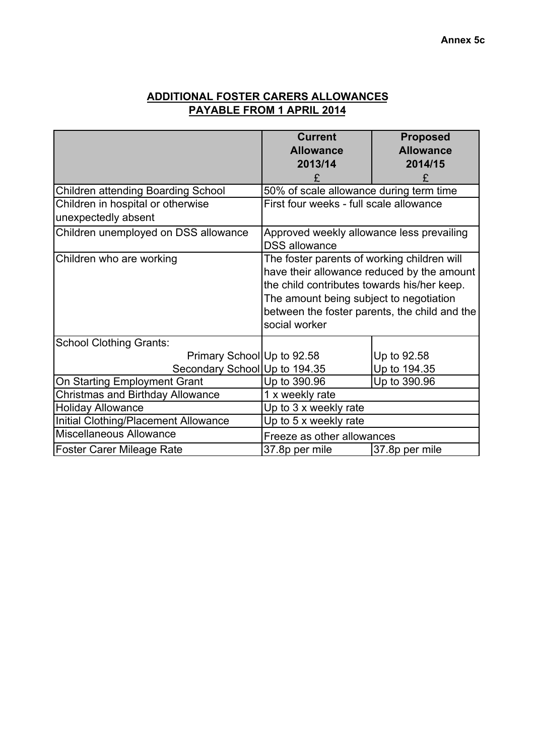## **ADDITIONAL FOSTER CARERS ALLOWANCES PAYABLE FROM 1 APRIL 2014**

|                                                          | <b>Current</b>                                                                                                                                                                                                                                        | <b>Proposed</b>  |  |  |
|----------------------------------------------------------|-------------------------------------------------------------------------------------------------------------------------------------------------------------------------------------------------------------------------------------------------------|------------------|--|--|
|                                                          | <b>Allowance</b>                                                                                                                                                                                                                                      | <b>Allowance</b> |  |  |
|                                                          | 2013/14                                                                                                                                                                                                                                               | 2014/15          |  |  |
|                                                          | £                                                                                                                                                                                                                                                     | £                |  |  |
| <b>Children attending Boarding School</b>                | 50% of scale allowance during term time                                                                                                                                                                                                               |                  |  |  |
| Children in hospital or otherwise<br>unexpectedly absent | First four weeks - full scale allowance                                                                                                                                                                                                               |                  |  |  |
| Children unemployed on DSS allowance                     | Approved weekly allowance less prevailing<br><b>DSS</b> allowance                                                                                                                                                                                     |                  |  |  |
| Children who are working                                 | The foster parents of working children will<br>have their allowance reduced by the amount<br>the child contributes towards his/her keep.<br>The amount being subject to negotiation<br>between the foster parents, the child and the<br>social worker |                  |  |  |
| <b>School Clothing Grants:</b>                           |                                                                                                                                                                                                                                                       |                  |  |  |
| Primary School Up to 92.58                               |                                                                                                                                                                                                                                                       | Up to 92.58      |  |  |
| Secondary School Up to 194.35                            |                                                                                                                                                                                                                                                       | Up to 194.35     |  |  |
| On Starting Employment Grant                             | Up to 390.96                                                                                                                                                                                                                                          | Up to 390.96     |  |  |
| <b>Christmas and Birthday Allowance</b>                  | 1 x weekly rate                                                                                                                                                                                                                                       |                  |  |  |
| <b>Holiday Allowance</b>                                 | Up to 3 x weekly rate                                                                                                                                                                                                                                 |                  |  |  |
| Initial Clothing/Placement Allowance                     | Up to 5 x weekly rate                                                                                                                                                                                                                                 |                  |  |  |
| Miscellaneous Allowance                                  | Freeze as other allowances                                                                                                                                                                                                                            |                  |  |  |
| <b>Foster Carer Mileage Rate</b>                         | 37.8p per mile                                                                                                                                                                                                                                        | 37.8p per mile   |  |  |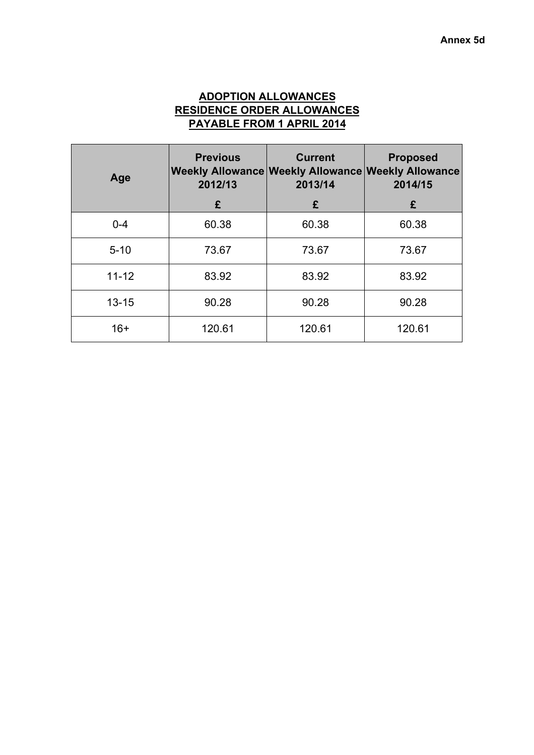## **ADOPTION ALLOWANCES RESIDENCE ORDER ALLOWANCES PAYABLE FROM 1 APRIL 2014**

| Age       | <b>Previous</b><br>2012/13 | <b>Current</b><br>Weekly Allowance Weekly Allowance Weekly Allowance<br>2013/14 | <b>Proposed</b><br>2014/15 |
|-----------|----------------------------|---------------------------------------------------------------------------------|----------------------------|
|           | £                          | £                                                                               | £                          |
| $0 - 4$   | 60.38                      | 60.38                                                                           | 60.38                      |
| $5 - 10$  | 73.67                      | 73.67                                                                           | 73.67                      |
| $11 - 12$ | 83.92                      | 83.92                                                                           | 83.92                      |
| $13 - 15$ | 90.28                      | 90.28                                                                           | 90.28                      |
| $16+$     | 120.61                     | 120.61                                                                          | 120.61                     |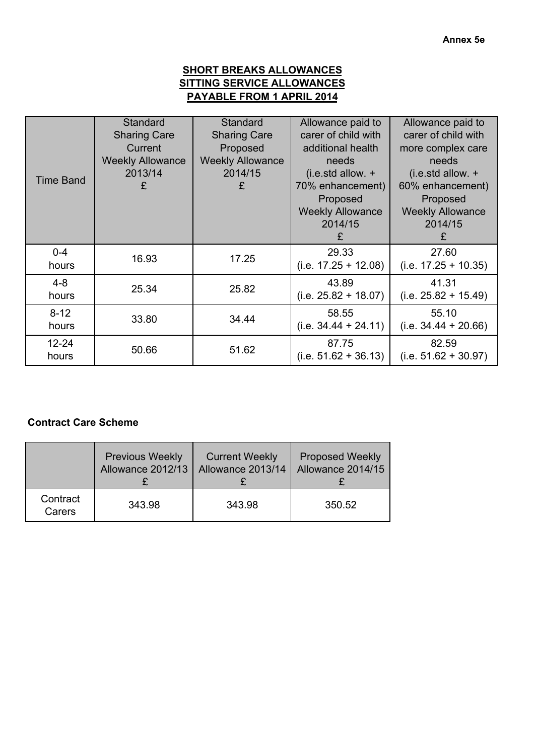## **SHORT BREAKS ALLOWANCES SITTING SERVICE ALLOWANCES PAYABLE FROM 1 APRIL 2014**

|                  | Standard<br><b>Sharing Care</b> | Standard<br><b>Sharing Care</b> | Allowance paid to<br>carer of child with | Allowance paid to<br>carer of child with |
|------------------|---------------------------------|---------------------------------|------------------------------------------|------------------------------------------|
|                  | Current                         | Proposed                        | additional health                        | more complex care                        |
|                  | <b>Weekly Allowance</b>         | <b>Weekly Allowance</b>         | needs                                    | needs                                    |
| <b>Time Band</b> | 2013/14                         | 2014/15                         | $(i.e. std allow. +$                     | $(i.e. std allow. +$                     |
|                  | £                               | £                               | 70% enhancement)                         | 60% enhancement)                         |
|                  |                                 |                                 | Proposed                                 | Proposed                                 |
|                  |                                 |                                 | <b>Weekly Allowance</b>                  | <b>Weekly Allowance</b>                  |
|                  |                                 |                                 | 2014/15                                  | 2014/15                                  |
|                  |                                 |                                 | £                                        | £                                        |
| $0-4$            |                                 |                                 | 29.33                                    | 27.60                                    |
| hours            | 16.93                           | 17.25                           | $(i.e. 17.25 + 12.08)$                   | $(i.e. 17.25 + 10.35)$                   |
| $4 - 8$          | 25.34                           | 25.82                           | 43.89                                    | 41.31                                    |
| hours            |                                 |                                 | $(i.e. 25.82 + 18.07)$                   | $(i.e. 25.82 + 15.49)$                   |
| $8 - 12$         | 33.80                           | 34.44                           | 58.55                                    | 55.10                                    |
| hours            |                                 |                                 | $(i.e. 34.44 + 24.11)$                   | $(i.e. 34.44 + 20.66)$                   |
| $12 - 24$        | 50.66                           | 51.62                           | 87.75                                    | 82.59                                    |
| hours            |                                 |                                 | $(i.e. 51.62 + 36.13)$                   | $(i.e. 51.62 + 30.97)$                   |

## **Contract Care Scheme**

|                    | <b>Previous Weekly</b> | <b>Current Weekly</b> | <b>Proposed Weekly</b> |
|--------------------|------------------------|-----------------------|------------------------|
|                    | Allowance 2012/13      | Allowance 2013/14     | Allowance 2014/15      |
| Contract<br>Carers | 343.98                 | 343.98                | 350.52                 |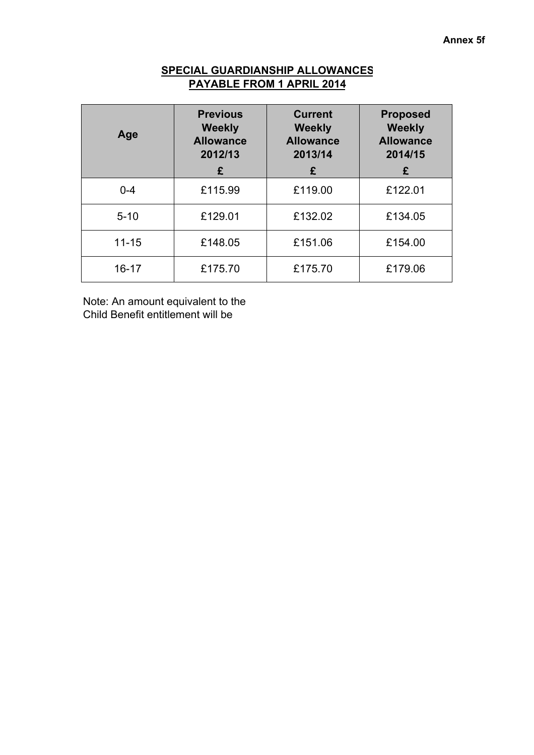## **SPECIAL GUARDIANSHIP ALLOWANCES PAYABLE FROM 1 APRIL 2014**

| Age       | <b>Previous</b><br><b>Weekly</b><br><b>Allowance</b><br>2012/13<br>£ | <b>Current</b><br><b>Weekly</b><br><b>Allowance</b><br>2013/14<br>£ | <b>Proposed</b><br><b>Weekly</b><br><b>Allowance</b><br>2014/15<br>£ |
|-----------|----------------------------------------------------------------------|---------------------------------------------------------------------|----------------------------------------------------------------------|
| $0 - 4$   | £115.99                                                              | £119.00                                                             | £122.01                                                              |
| $5 - 10$  | £129.01                                                              | £132.02                                                             | £134.05                                                              |
| $11 - 15$ | £148.05                                                              | £151.06                                                             | £154.00                                                              |
| $16 - 17$ | £175.70                                                              | £175.70                                                             | £179.06                                                              |

Note: An amount equivalent to the Child Benefit entitlement will be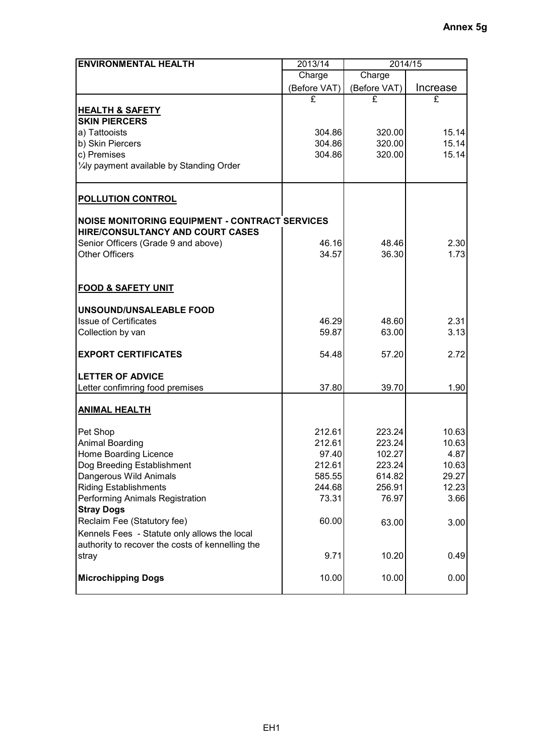| <b>ENVIRONMENTAL HEALTH</b>                           | 2013/14          | 2014/15          |                |
|-------------------------------------------------------|------------------|------------------|----------------|
|                                                       | Charge           | Charge           |                |
|                                                       | (Before VAT)     | (Before VAT)     | Increase       |
|                                                       | £                | £                | £              |
| <b>HEALTH &amp; SAFETY</b>                            |                  |                  |                |
| <b>SKIN PIERCERS</b>                                  |                  |                  |                |
| a) Tattooists<br>b) Skin Piercers                     | 304.86<br>304.86 | 320.00<br>320.00 | 15.14<br>15.14 |
| c) Premises                                           | 304.86           | 320.00           | 15.14          |
| 1/4ly payment available by Standing Order             |                  |                  |                |
|                                                       |                  |                  |                |
| <b>POLLUTION CONTROL</b>                              |                  |                  |                |
| <b>NOISE MONITORING EQUIPMENT - CONTRACT SERVICES</b> |                  |                  |                |
| HIRE/CONSULTANCY AND COURT CASES                      |                  |                  |                |
| Senior Officers (Grade 9 and above)                   | 46.16            | 48.46            | 2.30           |
| <b>Other Officers</b>                                 | 34.57            | 36.30            | 1.73           |
|                                                       |                  |                  |                |
| <b>FOOD &amp; SAFETY UNIT</b>                         |                  |                  |                |
| UNSOUND/UNSALEABLE FOOD                               |                  |                  |                |
| <b>Issue of Certificates</b>                          | 46.29            | 48.60            | 2.31           |
| Collection by van                                     | 59.87            | 63.00            | 3.13           |
| <b>EXPORT CERTIFICATES</b>                            | 54.48            | 57.20            | 2.72           |
| <b>LETTER OF ADVICE</b>                               |                  |                  |                |
| Letter confimring food premises                       | 37.80            | 39.70            | 1.90           |
| <b>ANIMAL HEALTH</b>                                  |                  |                  |                |
| Pet Shop                                              | 212.61           | 223.24           | 10.63          |
| Animal Boarding                                       | 212.61           | 223.24           | 10.63          |
| Home Boarding Licence                                 | 97.40            | 102.27           | 4.87           |
| Dog Breeding Establishment                            | 212.61           | 223.24           | 10.63          |
| Dangerous Wild Animals                                | 585.55           | 614.82           | 29.27          |
| <b>Riding Establishments</b>                          | 244.68           | 256.91           | 12.23          |
| Performing Animals Registration<br><b>Stray Dogs</b>  | 73.31            | 76.97            | 3.66           |
| Reclaim Fee (Statutory fee)                           | 60.00            | 63.00            | 3.00           |
| Kennels Fees - Statute only allows the local          |                  |                  |                |
| authority to recover the costs of kennelling the      |                  |                  |                |
| stray                                                 | 9.71             | 10.20            | 0.49           |
|                                                       |                  |                  |                |
| <b>Microchipping Dogs</b>                             | 10.00            | 10.00            | 0.00           |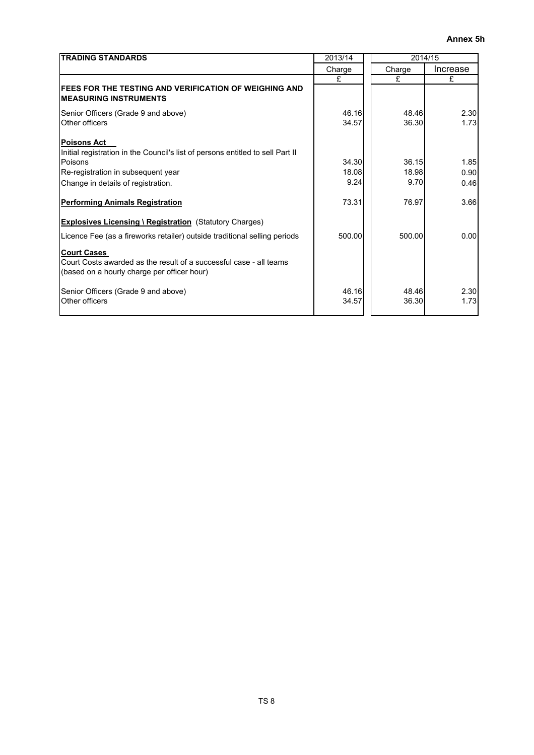| <b>TRADING STANDARDS</b>                                                                                                                | 2013/14        |                | 2014/15      |
|-----------------------------------------------------------------------------------------------------------------------------------------|----------------|----------------|--------------|
|                                                                                                                                         | Charge         | Charge         | Increase     |
|                                                                                                                                         | £              | £              | £            |
| <b>FEES FOR THE TESTING AND VERIFICATION OF WEIGHING AND</b><br><b>IMEASURING INSTRUMENTS</b>                                           |                |                |              |
| Senior Officers (Grade 9 and above)                                                                                                     | 46.16          | 48.46          | 2.30         |
| Other officers                                                                                                                          | 34.57          | 36.30          | 1.73         |
| <b>Poisons Act</b><br>Initial registration in the Council's list of persons entitled to sell Part II<br>Poisons                         | 34.30          | 36.15          |              |
| Re-registration in subsequent year                                                                                                      | 18.08          | 18.98          | 1.85<br>0.90 |
|                                                                                                                                         | 9.24           | 9.70           |              |
| Change in details of registration.                                                                                                      |                |                | 0.46         |
| <b>Performing Animals Registration</b>                                                                                                  | 73.31          | 76.97          | 3.66         |
| <b>Explosives Licensing \ Registration (Statutory Charges)</b>                                                                          |                |                |              |
| Licence Fee (as a fireworks retailer) outside traditional selling periods                                                               | 500.00         | 500.00         | 0.00         |
| <b>Court Cases</b><br>Court Costs awarded as the result of a successful case - all teams<br>(based on a hourly charge per officer hour) |                |                |              |
| Senior Officers (Grade 9 and above)<br>Other officers                                                                                   | 46.16<br>34.57 | 48.46<br>36.30 | 2.30<br>1.73 |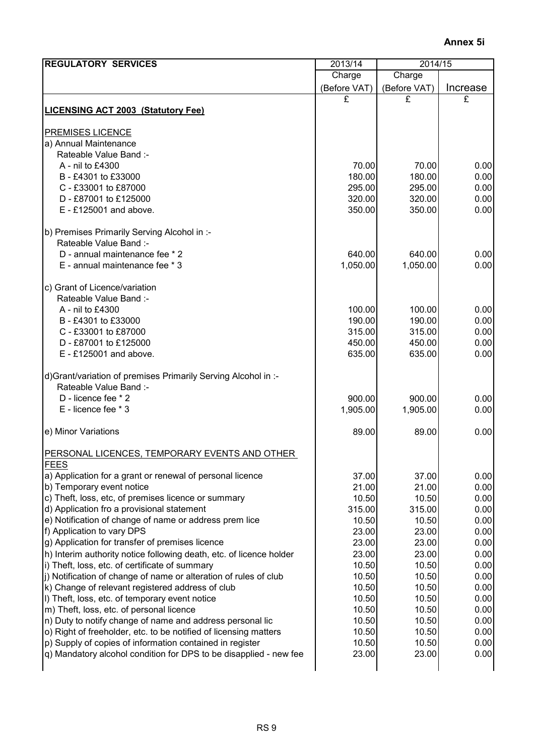| <b>REGULATORY SERVICES</b>                                                                        | 2013/14         | 2014/15         |              |
|---------------------------------------------------------------------------------------------------|-----------------|-----------------|--------------|
|                                                                                                   | Charge          | Charge          |              |
|                                                                                                   | (Before VAT)    | (Before VAT)    | Increase     |
|                                                                                                   | £               | £               | £            |
| <b>LICENSING ACT 2003 (Statutory Fee)</b>                                                         |                 |                 |              |
| <b>PREMISES LICENCE</b>                                                                           |                 |                 |              |
| a) Annual Maintenance                                                                             |                 |                 |              |
| Rateable Value Band :-                                                                            |                 |                 |              |
| A - nil to £4300                                                                                  | 70.00           | 70.00           | 0.00         |
| B - £4301 to £33000                                                                               | 180.00          | 180.00          | 0.00         |
| C - £33001 to £87000                                                                              | 295.00          | 295.00          | 0.00         |
| D - £87001 to £125000                                                                             | 320.00          | 320.00          | 0.00         |
| $E - £125001$ and above.                                                                          | 350.00          | 350.00          | 0.00         |
| b) Premises Primarily Serving Alcohol in :-                                                       |                 |                 |              |
| Rateable Value Band :-                                                                            |                 |                 |              |
| D - annual maintenance fee * 2                                                                    | 640.00          | 640.00          | 0.00         |
| E - annual maintenance fee * 3                                                                    | 1,050.00        | 1,050.00        | 0.00         |
| c) Grant of Licence/variation                                                                     |                 |                 |              |
| Rateable Value Band :-                                                                            |                 |                 |              |
| A - nil to £4300                                                                                  | 100.00          | 100.00          | 0.00         |
| B - £4301 to £33000                                                                               | 190.00          | 190.00          | 0.00         |
| C - £33001 to £87000                                                                              | 315.00          | 315.00          | 0.00         |
| D - £87001 to £125000                                                                             | 450.00          | 450.00          | 0.00         |
| $E - £125001$ and above.                                                                          | 635.00          | 635.00          | 0.00         |
| d) Grant/variation of premises Primarily Serving Alcohol in :-                                    |                 |                 |              |
| Rateable Value Band :-                                                                            |                 |                 |              |
| D - licence fee * 2                                                                               | 900.00          | 900.00          | 0.00         |
| E - licence fee * 3                                                                               | 1,905.00        | 1,905.00        | 0.00         |
| e) Minor Variations                                                                               | 89.00           | 89.00           | 0.00         |
| PERSONAL LICENCES, TEMPORARY EVENTS AND OTHER                                                     |                 |                 |              |
| <b>FEES</b>                                                                                       |                 |                 |              |
| a) Application for a grant or renewal of personal licence                                         | 37.00           | 37.00           | 0.00         |
| b) Temporary event notice                                                                         | 21.00           | 21.00           | 0.00         |
| c) Theft, loss, etc, of premises licence or summary<br>d) Application fro a provisional statement | 10.50<br>315.00 | 10.50<br>315.00 | 0.00<br>0.00 |
| e) Notification of change of name or address prem lice                                            | 10.50           | 10.50           | 0.00         |
| f) Application to vary DPS                                                                        | 23.00           | 23.00           | 0.00         |
| g) Application for transfer of premises licence                                                   | 23.00           | 23.00           | 0.00         |
| h) Interim authority notice following death, etc. of licence holder                               | 23.00           | 23.00           | 0.00         |
| i) Theft, loss, etc. of certificate of summary                                                    | 10.50           | 10.50           | 0.00         |
| j) Notification of change of name or alteration of rules of club                                  | 10.50           | 10.50           | 0.00         |
| k) Change of relevant registered address of club                                                  | 10.50           | 10.50           | 0.00         |
| I) Theft, loss, etc. of temporary event notice                                                    | 10.50           | 10.50           | 0.00         |
| m) Theft, loss, etc. of personal licence                                                          | 10.50           | 10.50           | 0.00         |
| n) Duty to notify change of name and address personal lic                                         | 10.50           | 10.50           | 0.00         |
| o) Right of freeholder, etc. to be notified of licensing matters                                  | 10.50           | 10.50           | 0.00         |
| p) Supply of copies of information contained in register                                          | 10.50           | 10.50           | 0.00         |
| q) Mandatory alcohol condition for DPS to be disapplied - new fee                                 | 23.00           | 23.00           | 0.00         |
|                                                                                                   |                 |                 |              |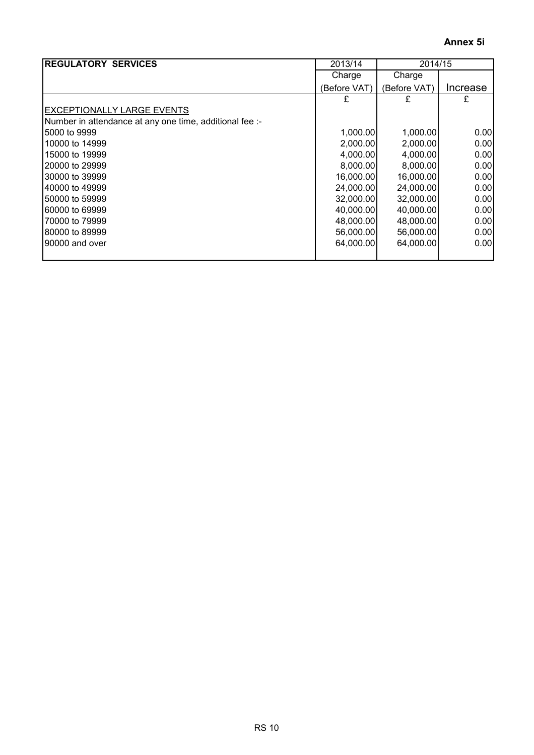| <b>REGULATORY SERVICES</b>                              | 2013/14      | 2014/15      |          |  |
|---------------------------------------------------------|--------------|--------------|----------|--|
|                                                         | Charge       | Charge       |          |  |
|                                                         | (Before VAT) | (Before VAT) | Increase |  |
|                                                         | £            | £            | £        |  |
| EXCEPTIONALLY LARGE EVENTS                              |              |              |          |  |
| Number in attendance at any one time, additional fee :- |              |              |          |  |
| 5000 to 9999                                            | 1,000.00     | 1,000.00     | 0.00     |  |
| 10000 to 14999                                          | 2,000.00     | 2,000.00     | 0.001    |  |
| 15000 to 19999                                          | 4,000.00     | 4,000.00     | 0.001    |  |
| 20000 to 29999                                          | 8,000.00     | 8,000.00     | 0.00     |  |
| 30000 to 39999                                          | 16,000.00    | 16,000.00    | 0.00     |  |
| 40000 to 49999                                          | 24,000.00    | 24,000.00    | 0.00     |  |
| 50000 to 59999                                          | 32,000.00    | 32,000.00    | 0.001    |  |
| 60000 to 69999                                          | 40,000.00    | 40,000.00    | 0.001    |  |
| 70000 to 79999                                          | 48,000.00    | 48,000.00    | 0.001    |  |
| 80000 to 89999                                          | 56,000.00    | 56,000.00    | 0.001    |  |
| 90000 and over                                          | 64,000.00    | 64,000.00    | 0.001    |  |
|                                                         |              |              |          |  |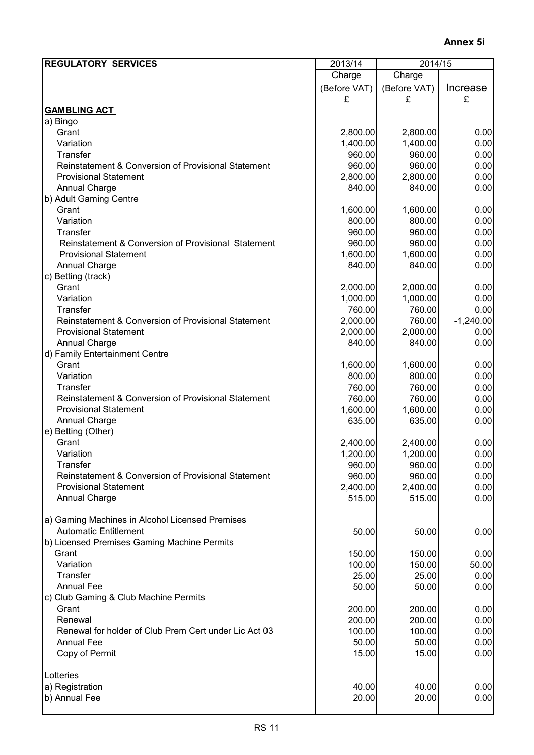| <b>REGULATORY SERVICES</b>                            | 2013/14<br>2014/15 |              |             |
|-------------------------------------------------------|--------------------|--------------|-------------|
|                                                       | Charge             | Charge       |             |
|                                                       | (Before VAT)       | (Before VAT) | Increase    |
|                                                       | £                  | £            | £           |
| <b>GAMBLING ACT</b>                                   |                    |              |             |
| a) Bingo                                              |                    |              |             |
| Grant                                                 | 2,800.00           | 2,800.00     | 0.00        |
| Variation                                             | 1,400.00           | 1,400.00     | 0.00        |
| <b>Transfer</b>                                       | 960.00             | 960.00       | 0.00        |
| Reinstatement & Conversion of Provisional Statement   | 960.00             | 960.00       | 0.00        |
| <b>Provisional Statement</b>                          | 2,800.00           | 2,800.00     | 0.00        |
| <b>Annual Charge</b>                                  | 840.00             | 840.00       | 0.00        |
| b) Adult Gaming Centre                                |                    |              |             |
| Grant                                                 | 1,600.00           | 1,600.00     | 0.00        |
| Variation                                             | 800.00             | 800.00       | 0.00        |
| Transfer                                              | 960.00             | 960.00       | 0.00        |
| Reinstatement & Conversion of Provisional Statement   | 960.00             | 960.00       | 0.00        |
| <b>Provisional Statement</b>                          | 1,600.00           | 1,600.00     | 0.00        |
| <b>Annual Charge</b>                                  | 840.00             | 840.00       | 0.00        |
| c) Betting (track)                                    |                    |              |             |
| Grant                                                 | 2,000.00           | 2,000.00     | 0.00        |
| Variation                                             | 1,000.00           | 1,000.00     | 0.00        |
| <b>Transfer</b>                                       | 760.00             | 760.00       | 0.00        |
| Reinstatement & Conversion of Provisional Statement   | 2,000.00           | 760.00       | $-1,240.00$ |
| <b>Provisional Statement</b>                          | 2,000.00           | 2,000.00     | 0.00        |
| <b>Annual Charge</b>                                  | 840.00             | 840.00       | 0.00        |
| d) Family Entertainment Centre                        |                    |              |             |
| Grant                                                 | 1,600.00           | 1,600.00     | 0.00        |
| Variation                                             | 800.00             | 800.00       | 0.00        |
| Transfer                                              | 760.00             | 760.00       | 0.00        |
| Reinstatement & Conversion of Provisional Statement   | 760.00             | 760.00       | 0.00        |
| <b>Provisional Statement</b>                          | 1,600.00           | 1,600.00     | 0.00        |
| <b>Annual Charge</b>                                  | 635.00             | 635.00       | 0.00        |
| e) Betting (Other)                                    |                    |              |             |
| Grant                                                 | 2,400.00           | 2,400.00     | 0.00        |
| Variation                                             | 1,200.00           | 1,200.00     | 0.00        |
| <b>Transfer</b>                                       | 960.00             | 960.00       | 0.00        |
| Reinstatement & Conversion of Provisional Statement   | 960.00             | 960.00       | 0.00        |
| <b>Provisional Statement</b>                          | 2,400.00           | 2,400.00     | 0.00        |
| <b>Annual Charge</b>                                  | 515.00             | 515.00       | 0.00        |
|                                                       |                    |              |             |
| a) Gaming Machines in Alcohol Licensed Premises       |                    |              |             |
| <b>Automatic Entitlement</b>                          | 50.00              | 50.00        | 0.00        |
| b) Licensed Premises Gaming Machine Permits           |                    |              |             |
| Grant                                                 | 150.00             | 150.00       | 0.00        |
| Variation                                             | 100.00             | 150.00       | 50.00       |
| Transfer                                              | 25.00              | 25.00        | 0.00        |
| <b>Annual Fee</b>                                     | 50.00              | 50.00        | 0.00        |
| c) Club Gaming & Club Machine Permits                 |                    |              |             |
| Grant                                                 | 200.00             | 200.00       | 0.00        |
| Renewal                                               | 200.00             | 200.00       | 0.00        |
| Renewal for holder of Club Prem Cert under Lic Act 03 | 100.00             | 100.00       | 0.00        |
| <b>Annual Fee</b>                                     | 50.00              | 50.00        | 0.00        |
| Copy of Permit                                        | 15.00              | 15.00        | 0.00        |
| Lotteries                                             |                    |              |             |
| a) Registration                                       | 40.00              | 40.00        | 0.00        |
| b) Annual Fee                                         | 20.00              | 20.00        | 0.00        |
|                                                       |                    |              |             |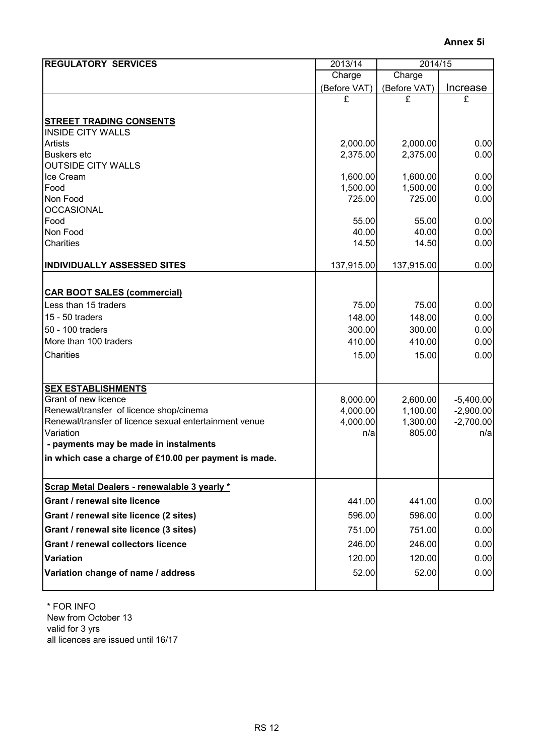| <b>REGULATORY SERVICES</b>                                 | 2013/14<br>2014/15 |                |              |
|------------------------------------------------------------|--------------------|----------------|--------------|
|                                                            | Charge             | Charge         |              |
|                                                            | (Before VAT)       | (Before VAT)   | Increase     |
|                                                            | £                  | £              | £            |
|                                                            |                    |                |              |
| <b>STREET TRADING CONSENTS</b><br><b>INSIDE CITY WALLS</b> |                    |                |              |
| <b>Artists</b>                                             | 2,000.00           | 2,000.00       | 0.00         |
| <b>Buskers</b> etc                                         | 2,375.00           | 2,375.00       | 0.00         |
| <b>OUTSIDE CITY WALLS</b>                                  |                    |                |              |
| Ice Cream                                                  | 1,600.00           | 1,600.00       | 0.00         |
| Food                                                       | 1,500.00           | 1,500.00       | 0.00         |
| Non Food                                                   | 725.00             | 725.00         | 0.00         |
| <b>OCCASIONAL</b>                                          |                    |                |              |
| Food<br>Non Food                                           | 55.00<br>40.00     | 55.00<br>40.00 | 0.00<br>0.00 |
| Charities                                                  | 14.50              | 14.50          | 0.00         |
|                                                            |                    |                |              |
| <b>INDIVIDUALLY ASSESSED SITES</b>                         | 137,915.00         | 137,915.00     | 0.00         |
|                                                            |                    |                |              |
| <b>CAR BOOT SALES (commercial)</b>                         |                    |                |              |
| Less than 15 traders                                       | 75.00              | 75.00          | 0.00         |
| 15 - 50 traders                                            | 148.00             | 148.00         | 0.00         |
| 50 - 100 traders                                           | 300.00             | 300.00         | 0.00         |
| More than 100 traders                                      | 410.00             | 410.00         | 0.00         |
| Charities                                                  | 15.00              | 15.00          | 0.00         |
|                                                            |                    |                |              |
| <b>SEX ESTABLISHMENTS</b>                                  |                    |                |              |
| Grant of new licence                                       | 8,000.00           | 2,600.00       | $-5,400.00$  |
| Renewal/transfer of licence shop/cinema                    | 4,000.00           | 1,100.00       | $-2,900.00$  |
| Renewal/transfer of licence sexual entertainment venue     | 4,000.00           | 1,300.00       | $-2,700.00$  |
| Variation                                                  | n/a                | 805.00         | n/a          |
| - payments may be made in instalments                      |                    |                |              |
| in which case a charge of £10.00 per payment is made.      |                    |                |              |
| Scrap Metal Dealers - renewalable 3 yearly *               |                    |                |              |
| Grant / renewal site licence                               | 441.00             | 441.00         | 0.00         |
| Grant / renewal site licence (2 sites)                     | 596.00             | 596.00         | 0.00         |
| Grant / renewal site licence (3 sites)                     | 751.00             | 751.00         | 0.00         |
| Grant / renewal collectors licence                         | 246.00             | 246.00         | 0.00         |
| <b>Variation</b>                                           | 120.00             | 120.00         | 0.00         |
| Variation change of name / address                         | 52.00              | 52.00          | 0.00         |
|                                                            |                    |                |              |

 \* FOR INFO New from October 13 valid for 3 yrs all licences are issued until 16/17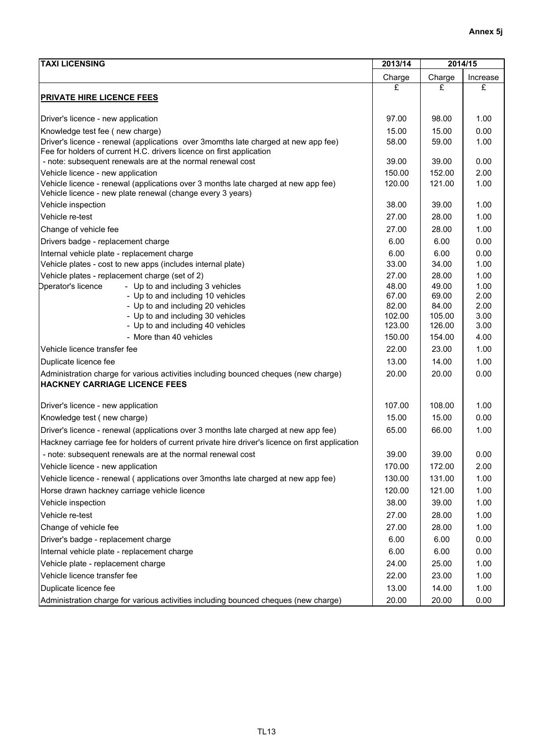| <b>TAXI LICENSING</b><br>2013/14                                                                                                                 |                |                | 2014/15      |  |
|--------------------------------------------------------------------------------------------------------------------------------------------------|----------------|----------------|--------------|--|
|                                                                                                                                                  | Charge         | Charge         | Increase     |  |
| <b>PRIVATE HIRE LICENCE FEES</b>                                                                                                                 | £              | £              | £            |  |
|                                                                                                                                                  |                |                |              |  |
| Driver's licence - new application                                                                                                               | 97.00          | 98.00          | 1.00         |  |
| Knowledge test fee (new charge)                                                                                                                  | 15.00          | 15.00          | 0.00         |  |
| Driver's licence - renewal (applications over 3momths late charged at new app fee)                                                               | 58.00          | 59.00          | 1.00         |  |
| Fee for holders of current H.C. drivers licence on first application                                                                             |                |                |              |  |
| - note: subsequent renewals are at the normal renewal cost                                                                                       | 39.00          | 39.00          | 0.00         |  |
| Vehicle licence - new application                                                                                                                | 150.00         | 152.00         | 2.00         |  |
| Vehicle licence - renewal (applications over 3 months late charged at new app fee)<br>Vehicle licence - new plate renewal (change every 3 years) | 120.00         | 121.00         | 1.00         |  |
| Vehicle inspection                                                                                                                               | 38.00          | 39.00          | 1.00         |  |
| Vehicle re-test                                                                                                                                  | 27.00          | 28.00          | 1.00         |  |
| Change of vehicle fee                                                                                                                            | 27.00          | 28.00          | 1.00         |  |
|                                                                                                                                                  |                |                |              |  |
| Drivers badge - replacement charge                                                                                                               | 6.00           | 6.00           | 0.00         |  |
| Internal vehicle plate - replacement charge                                                                                                      | 6.00           | 6.00           | 0.00<br>1.00 |  |
| Vehicle plates - cost to new apps (includes internal plate)<br>Vehicle plates - replacement charge (set of 2)                                    | 33.00          | 34.00          | 1.00         |  |
| <b>Dperator's licence</b><br>- Up to and including 3 vehicles                                                                                    | 27.00<br>48.00 | 28.00<br>49.00 | 1.00         |  |
| - Up to and including 10 vehicles                                                                                                                | 67.00          | 69.00          | 2.00         |  |
| - Up to and including 20 vehicles                                                                                                                | 82.00          | 84.00          | 2.00         |  |
| - Up to and including 30 vehicles                                                                                                                | 102.00         | 105.00         | 3.00         |  |
| - Up to and including 40 vehicles                                                                                                                | 123.00         | 126.00         | 3.00         |  |
| - More than 40 vehicles                                                                                                                          | 150.00         | 154.00         | 4.00         |  |
| Vehicle licence transfer fee                                                                                                                     | 22.00          | 23.00          | 1.00         |  |
| Duplicate licence fee                                                                                                                            | 13.00          | 14.00          | 1.00         |  |
| Administration charge for various activities including bounced cheques (new charge)<br><b>HACKNEY CARRIAGE LICENCE FEES</b>                      | 20.00          | 20.00          | 0.00         |  |
| Driver's licence - new application                                                                                                               | 107.00         | 108.00         | 1.00         |  |
| Knowledge test (new charge)                                                                                                                      | 15.00          | 15.00          | 0.00         |  |
| Driver's licence - renewal (applications over 3 months late charged at new app fee)                                                              | 65.00          | 66.00          | 1.00         |  |
|                                                                                                                                                  |                |                |              |  |
| Hackney carriage fee for holders of current private hire driver's licence on first application                                                   |                |                |              |  |
| - note: subsequent renewals are at the normal renewal cost                                                                                       | 39.00          | 39.00          | 0.00         |  |
| Vehicle licence - new application                                                                                                                | 170.00         | 172.00         | 2.00         |  |
| Vehicle licence - renewal (applications over 3months late charged at new app fee)                                                                | 130.00         | 131.00         | 1.00         |  |
| Horse drawn hackney carriage vehicle licence                                                                                                     | 120.00         | 121.00         | 1.00         |  |
| Vehicle inspection                                                                                                                               | 38.00          | 39.00          | 1.00         |  |
| Vehicle re-test                                                                                                                                  | 27.00          | 28.00          | 1.00         |  |
| Change of vehicle fee                                                                                                                            | 27.00          | 28.00          | 1.00         |  |
| Driver's badge - replacement charge                                                                                                              | 6.00           | 6.00           | 0.00         |  |
| Internal vehicle plate - replacement charge                                                                                                      | 6.00           | 6.00           | 0.00         |  |
| Vehicle plate - replacement charge                                                                                                               | 24.00          | 25.00          | 1.00         |  |
| Vehicle licence transfer fee                                                                                                                     | 22.00          | 23.00          | 1.00         |  |
| Duplicate licence fee                                                                                                                            | 13.00          | 14.00          | 1.00         |  |
| Administration charge for various activities including bounced cheques (new charge)                                                              | 20.00          | 20.00          | 0.00         |  |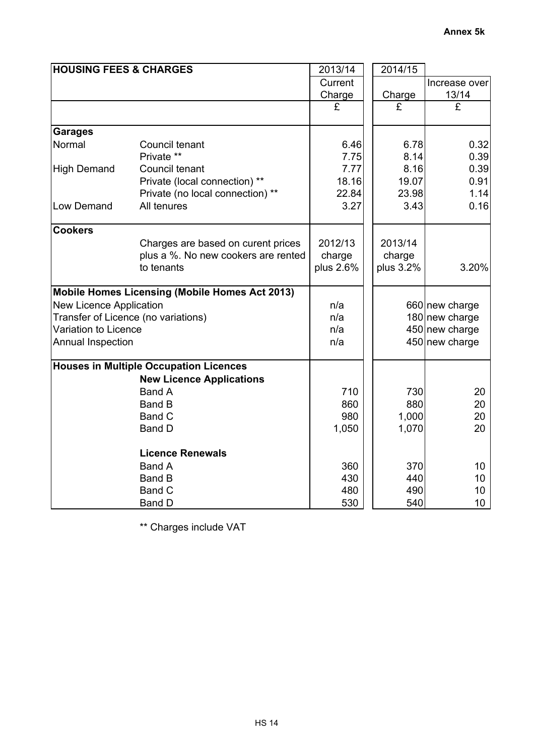| <b>HOUSING FEES &amp; CHARGES</b> |                                                       | 2013/14   | 2014/15   |                 |
|-----------------------------------|-------------------------------------------------------|-----------|-----------|-----------------|
|                                   |                                                       | Current   |           | Increase over   |
|                                   |                                                       | Charge    | Charge    | 13/14           |
|                                   |                                                       | £         | £         | £               |
| <b>Garages</b>                    |                                                       |           |           |                 |
| Normal                            | Council tenant                                        | 6.46      | 6.78      | 0.32            |
|                                   | Private **                                            | 7.75      | 8.14      | 0.39            |
| <b>High Demand</b>                | Council tenant                                        | 7.77      | 8.16      | 0.39            |
|                                   | Private (local connection) **                         | 18.16     | 19.07     | 0.91            |
|                                   | Private (no local connection) **                      | 22.84     | 23.98     | 1.14            |
| Low Demand                        | All tenures                                           | 3.27      | 3.43      | 0.16            |
| <b>Cookers</b>                    |                                                       |           |           |                 |
|                                   | Charges are based on curent prices                    | 2012/13   | 2013/14   |                 |
|                                   | plus a %. No new cookers are rented                   | charge    | charge    |                 |
|                                   | to tenants                                            | plus 2.6% | plus 3.2% | 3.20%           |
|                                   | <b>Mobile Homes Licensing (Mobile Homes Act 2013)</b> |           |           |                 |
| New Licence Application           |                                                       | n/a       |           | 660 new charge  |
|                                   | Transfer of Licence (no variations)                   | n/a       |           | 180 new charge  |
| Variation to Licence              |                                                       | n/a       |           | 450 new charge  |
| Annual Inspection                 |                                                       | n/a       |           | 450 new charge  |
|                                   | <b>Houses in Multiple Occupation Licences</b>         |           |           |                 |
|                                   | <b>New Licence Applications</b>                       |           |           |                 |
|                                   | <b>Band A</b>                                         | 710       | 730       | 20              |
|                                   | <b>Band B</b>                                         | 860       | 880       | 20              |
|                                   | Band C                                                | 980       | 1,000     | 20              |
|                                   | <b>Band D</b>                                         | 1,050     | 1,070     | 20              |
|                                   | <b>Licence Renewals</b>                               |           |           |                 |
|                                   | <b>Band A</b>                                         | 360       | 370       | 10              |
|                                   | <b>Band B</b>                                         | 430       | 440       | 10              |
|                                   | Band C                                                | 480       | 490       | 10              |
|                                   | Band D                                                | 530       | 540       | 10 <sup>°</sup> |

\*\* Charges include VAT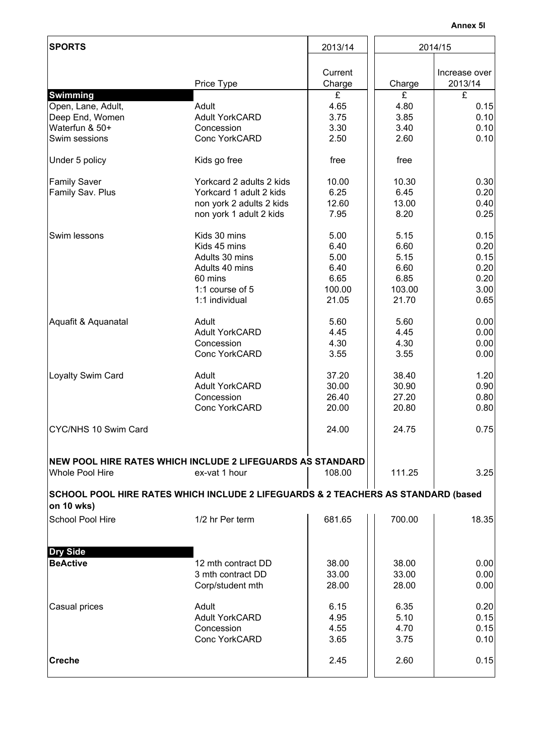| <b>SPORTS</b>                                                                        |                                                                                                                  | 2013/14                                                 | 2014/15                                                 |                                                      |  |
|--------------------------------------------------------------------------------------|------------------------------------------------------------------------------------------------------------------|---------------------------------------------------------|---------------------------------------------------------|------------------------------------------------------|--|
|                                                                                      | Price Type                                                                                                       | Current<br>Charge                                       | Charge                                                  | Increase over<br>2013/14                             |  |
| Swimming<br>Open, Lane, Adult,<br>Deep End, Women<br>Waterfun & 50+<br>Swim sessions | Adult<br><b>Adult YorkCARD</b><br>Concession<br><b>Conc YorkCARD</b>                                             | £<br>4.65<br>3.75<br>3.30<br>2.50                       | £<br>4.80<br>3.85<br>3.40<br>2.60                       | £<br>0.15<br>0.10<br>0.10<br>0.10                    |  |
| Under 5 policy                                                                       | Kids go free                                                                                                     | free                                                    | free                                                    |                                                      |  |
| <b>Family Saver</b><br>Family Sav. Plus                                              | Yorkcard 2 adults 2 kids<br>Yorkcard 1 adult 2 kids<br>non york 2 adults 2 kids<br>non york 1 adult 2 kids       | 10.00<br>6.25<br>12.60<br>7.95                          | 10.30<br>6.45<br>13.00<br>8.20                          | 0.30<br>0.20<br>0.40<br>0.25                         |  |
| Swim lessons                                                                         | Kids 30 mins<br>Kids 45 mins<br>Adults 30 mins<br>Adults 40 mins<br>60 mins<br>1:1 course of 5<br>1:1 individual | 5.00<br>6.40<br>5.00<br>6.40<br>6.65<br>100.00<br>21.05 | 5.15<br>6.60<br>5.15<br>6.60<br>6.85<br>103.00<br>21.70 | 0.15<br>0.20<br>0.15<br>0.20<br>0.20<br>3.00<br>0.65 |  |
| Aquafit & Aquanatal                                                                  | Adult<br><b>Adult YorkCARD</b><br>Concession<br><b>Conc YorkCARD</b>                                             | 5.60<br>4.45<br>4.30<br>3.55                            | 5.60<br>4.45<br>4.30<br>3.55                            | 0.00<br>0.00<br>0.00<br>0.00                         |  |
| Loyalty Swim Card                                                                    | Adult<br><b>Adult YorkCARD</b><br>Concession<br><b>Conc YorkCARD</b>                                             | 37.20<br>30.00<br>26.40<br>20.00                        | 38.40<br>30.90<br>27.20<br>20.80                        | 1.20<br>0.90<br>0.80<br>0.80                         |  |
| CYC/NHS 10 Swim Card                                                                 |                                                                                                                  | 24.00                                                   | 24.75                                                   | 0.75                                                 |  |
| <b>Whole Pool Hire</b>                                                               | NEW POOL HIRE RATES WHICH INCLUDE 2 LIFEGUARDS AS STANDARD<br>ex-vat 1 hour                                      | 108.00                                                  | 111.25                                                  | 3.25                                                 |  |
| on 10 wks)                                                                           | SCHOOL POOL HIRE RATES WHICH INCLUDE 2 LIFEGUARDS & 2 TEACHERS AS STANDARD (based                                |                                                         |                                                         |                                                      |  |
| School Pool Hire                                                                     | 1/2 hr Per term                                                                                                  | 681.65                                                  | 700.00                                                  | 18.35                                                |  |
| <b>Dry Side</b>                                                                      |                                                                                                                  |                                                         |                                                         |                                                      |  |
| <b>BeActive</b>                                                                      | 12 mth contract DD<br>3 mth contract DD<br>Corp/student mth                                                      | 38.00<br>33.00<br>28.00                                 | 38.00<br>33.00<br>28.00                                 | 0.00<br>0.00<br>0.00                                 |  |
| Casual prices                                                                        | Adult<br><b>Adult YorkCARD</b><br>Concession<br><b>Conc YorkCARD</b>                                             | 6.15<br>4.95<br>4.55<br>3.65                            | 6.35<br>5.10<br>4.70<br>3.75                            | 0.20<br>0.15<br>0.15<br>0.10                         |  |
| <b>Creche</b>                                                                        |                                                                                                                  | 2.45                                                    | 2.60                                                    | 0.15                                                 |  |
|                                                                                      |                                                                                                                  |                                                         |                                                         |                                                      |  |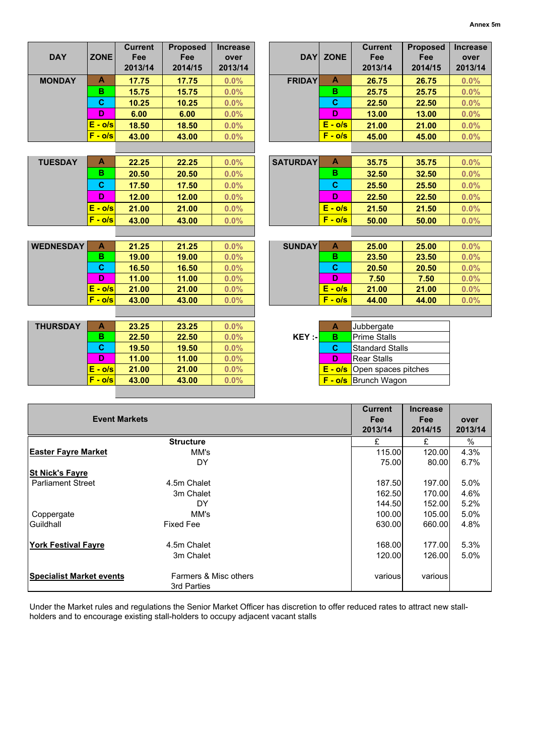|                            |             | <b>Current</b>       | <b>Proposed</b>  | <b>Increase</b> |                 |              | <b>Current</b>                     | <b>Proposed</b> | <b>Increase</b> |
|----------------------------|-------------|----------------------|------------------|-----------------|-----------------|--------------|------------------------------------|-----------------|-----------------|
| <b>DAY</b>                 | <b>ZONE</b> | Fee                  | Fee              | over            | <b>DAY</b>      | <b>ZONE</b>  | Fee                                | Fee             | over            |
|                            |             | 2013/14              | 2014/15          | 2013/14         |                 |              | 2013/14                            | 2014/15         | 2013/14         |
|                            |             |                      |                  |                 |                 |              |                                    |                 |                 |
| <b>MONDAY</b>              | A           | 17.75                | 17.75            | 0.0%            | <b>FRIDAY</b>   | A            | 26.75                              | 26.75           | 0.0%            |
|                            | в           | 15.75                | 15.75            | 0.0%            |                 | в            | 25.75                              | 25.75           | 0.0%            |
|                            | $\mathbf c$ | 10.25                | 10.25            | 0.0%            |                 | $\mathbf{C}$ | 22.50                              | 22.50           | 0.0%            |
|                            | D           | 6.00                 | 6.00             | 0.0%            |                 | D            | 13.00                              | 13.00           | 0.0%            |
|                            | $E - o/s$   | 18.50                | 18.50            | 0.0%            |                 | $E - o/s$    | 21.00                              | 21.00           | 0.0%            |
|                            | $F - o/s$   | 43.00                | 43.00            | 0.0%            |                 | $F - o/s$    | 45.00                              | 45.00           | 0.0%            |
|                            |             |                      |                  |                 |                 |              |                                    |                 |                 |
| <b>TUESDAY</b>             | A           | 22.25                | 22.25            | 0.0%            | <b>SATURDAY</b> | A            | 35.75                              | 35.75           | 0.0%            |
|                            | в           | 20.50                | 20.50            | 0.0%            |                 | в            | 32.50                              | 32.50           | 0.0%            |
|                            | $\mathbf c$ | 17.50                | 17.50            | 0.0%            |                 | $\mathbf C$  | 25.50                              | 25.50           | 0.0%            |
|                            | D           | 12.00                | 12.00            | 0.0%            |                 | D            | 22.50                              | 22.50           | 0.0%            |
|                            | $E - o/s$   | 21.00                | 21.00            | 0.0%            |                 | $E - o/s$    | 21.50                              | 21.50           | 0.0%            |
|                            | $F - o/s$   | 43.00                | 43.00            | 0.0%            |                 | $F - o/s$    | 50.00                              | 50.00           | 0.0%            |
|                            |             |                      |                  |                 |                 |              |                                    |                 |                 |
| <b>WEDNESDAY</b>           | A           | 21.25                | 21.25            | 0.0%            | <b>SUNDAY</b>   | $\mathbf{A}$ | 25.00                              | 25.00           | 0.0%            |
|                            | в           | 19.00                | 19.00            | 0.0%            |                 | B            | 23.50                              | 23.50           | 0.0%            |
|                            | C           | 16.50                | 16.50            | 0.0%            |                 | C            | 20.50                              | 20.50           | 0.0%            |
|                            | D           | 11.00                | 11.00            | 0.0%            |                 | D            | 7.50                               | 7.50            | 0.0%            |
|                            | $E - o/s$   | 21.00                |                  | 0.0%            |                 | $E - o/s$    |                                    |                 |                 |
|                            | $F - o/s$   | 43.00                | 21.00<br>43.00   | 0.0%            |                 | $F - o/s$    | 21.00<br>44.00                     | 21.00<br>44.00  | 0.0%            |
|                            |             |                      |                  |                 |                 |              |                                    |                 | 0.0%            |
|                            |             |                      |                  |                 |                 |              |                                    |                 |                 |
| <b>THURSDAY</b>            | A           | 23.25                | 23.25            | 0.0%            |                 | A            | Jubbergate                         |                 |                 |
|                            | в           | 22.50                | 22.50            | 0.0%            | KEY :-          | B            | Prime Stalls                       |                 |                 |
|                            | C           | 19.50                | 19.50            | 0.0%            |                 | C            | <b>Standard Stalls</b>             |                 |                 |
|                            | D           | 11.00                | 11.00            | 0.0%            |                 | D            | <b>Rear Stalls</b>                 |                 |                 |
|                            | $E - o/s$   | 21.00                | 21.00            | 0.0%            |                 |              | <b>E</b> - o/s Open spaces pitches |                 |                 |
|                            | $F - o/s$   | 43.00                | 43.00            | 0.0%            |                 |              | <b>F</b> - o/s Brunch Wagon        |                 |                 |
|                            |             |                      |                  |                 |                 |              |                                    |                 |                 |
|                            |             |                      |                  |                 |                 |              |                                    |                 |                 |
|                            |             |                      |                  |                 |                 |              | <b>Current</b>                     | <b>Increase</b> |                 |
|                            |             | <b>Event Markets</b> |                  |                 |                 |              | Fee                                | Fee             | over            |
|                            |             |                      |                  |                 |                 |              | 2013/14                            | 2014/15         | 2013/14         |
|                            |             |                      | Structure        |                 |                 |              | £                                  | £               | $\%$            |
| <b>Easter Fayre Market</b> |             |                      | MM's             |                 |                 |              | 115.00                             | 120.00          | 4.3%            |
|                            |             |                      | DY               |                 |                 |              | 75.00                              | 80.00           | 6.7%            |
| <b>St Nick's Fayre</b>     |             |                      |                  |                 |                 |              |                                    |                 |                 |
| <b>Parliament Street</b>   |             |                      | 4.5m Chalet      |                 |                 |              | 187.50                             | 197.00          | 5.0%            |
|                            |             |                      | 3m Chalet        |                 |                 |              | 162.50                             | 170.00          | 4.6%            |
|                            |             |                      | DY               |                 |                 |              | 144.50                             | 152.00          | 5.2%            |
| Coppergate                 |             |                      | MM's             |                 |                 |              | 100.00                             | 105.00          | 5.0%            |
| Guildhall                  |             |                      | <b>Fixed Fee</b> |                 |                 |              | 630.00                             | 660.00          | 4.8%            |

**York Festival Fayre** 168.00 **177.00** 5.3%<br>3m Chalet 168.00 **126.00** 126.00 5.0% 3m Chalet **Specialist Market events various** Farmers & Misc others **various** various various various Farmers & Misc others 3rd Parties

Under the Market rules and regulations the Senior Market Officer has discretion to offer reduced rates to attract new stallholders and to encourage existing stall-holders to occupy adjacent vacant stalls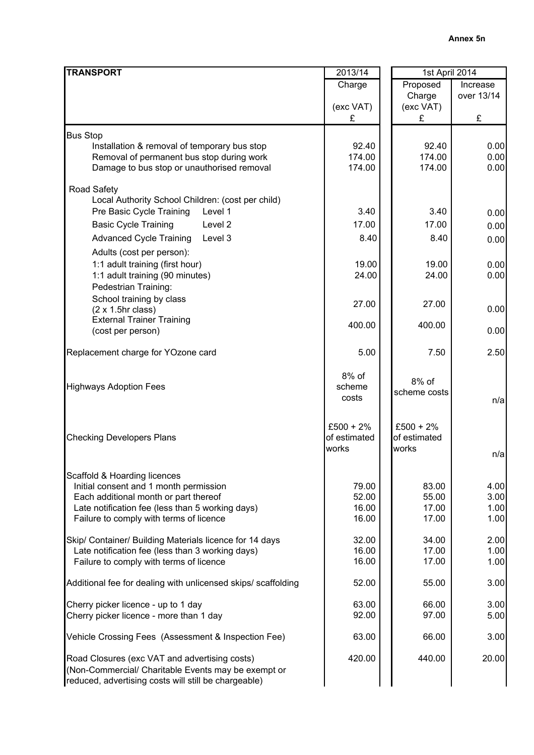| <b>TRANSPORT</b>                                                                         | 2013/14      | 1st April 2014 |            |  |
|------------------------------------------------------------------------------------------|--------------|----------------|------------|--|
|                                                                                          | Charge       | Proposed       | Increase   |  |
|                                                                                          |              | Charge         | over 13/14 |  |
|                                                                                          | (exc VAT)    | (exc VAT)      |            |  |
|                                                                                          | £            | £              | £          |  |
| <b>Bus Stop</b>                                                                          |              |                |            |  |
| Installation & removal of temporary bus stop                                             | 92.40        | 92.40          | 0.00       |  |
| Removal of permanent bus stop during work                                                | 174.00       | 174.00         | 0.00       |  |
| Damage to bus stop or unauthorised removal                                               | 174.00       | 174.00         | 0.00       |  |
|                                                                                          |              |                |            |  |
| <b>Road Safety</b>                                                                       |              |                |            |  |
| Local Authority School Children: (cost per child)<br>Pre Basic Cycle Training<br>Level 1 | 3.40         | 3.40           |            |  |
|                                                                                          |              |                | 0.00       |  |
| <b>Basic Cycle Training</b><br>Level 2                                                   | 17.00        | 17.00          | 0.00       |  |
| <b>Advanced Cycle Training</b><br>Level 3                                                | 8.40         | 8.40           | 0.00       |  |
| Adults (cost per person):                                                                |              |                |            |  |
| 1:1 adult training (first hour)                                                          | 19.00        | 19.00          | 0.00       |  |
| 1:1 adult training (90 minutes)                                                          | 24.00        | 24.00          | 0.00       |  |
| Pedestrian Training:                                                                     |              |                |            |  |
| School training by class                                                                 | 27.00        | 27.00          |            |  |
| $(2 \times 1.5)$ hr class)<br><b>External Trainer Training</b>                           |              |                | 0.00       |  |
| (cost per person)                                                                        | 400.00       | 400.00         | 0.00       |  |
|                                                                                          |              |                |            |  |
| Replacement charge for YOzone card                                                       | 5.00         | 7.50           | 2.50       |  |
|                                                                                          |              |                |            |  |
|                                                                                          | 8% of        | 8% of          |            |  |
| <b>Highways Adoption Fees</b>                                                            | scheme       | scheme costs   |            |  |
|                                                                                          | costs        |                | n/a        |  |
|                                                                                          |              |                |            |  |
|                                                                                          | $£500 + 2%$  | $£500 + 2%$    |            |  |
| <b>Checking Developers Plans</b>                                                         | of estimated | of estimated   |            |  |
|                                                                                          | works        | works          | n/a        |  |
|                                                                                          |              |                |            |  |
| Scaffold & Hoarding licences                                                             |              |                |            |  |
| Initial consent and 1 month permission                                                   | 79.00        | 83.00          | 4.00       |  |
| Each additional month or part thereof                                                    | 52.00        | 55.00          | 3.00       |  |
| Late notification fee (less than 5 working days)                                         | 16.00        | 17.00          | 1.00       |  |
| Failure to comply with terms of licence                                                  | 16.00        | 17.00          | 1.00       |  |
| Skip/ Container/ Building Materials licence for 14 days                                  | 32.00        | 34.00          | 2.00       |  |
| Late notification fee (less than 3 working days)                                         | 16.00        | 17.00          | 1.00       |  |
| Failure to comply with terms of licence                                                  | 16.00        | 17.00          | 1.00       |  |
|                                                                                          |              |                |            |  |
| Additional fee for dealing with unlicensed skips/ scaffolding                            | 52.00        | 55.00          | 3.00       |  |
|                                                                                          |              |                |            |  |
| Cherry picker licence - up to 1 day                                                      | 63.00        | 66.00          | 3.00       |  |
| Cherry picker licence - more than 1 day                                                  | 92.00        | 97.00          | 5.00       |  |
| Vehicle Crossing Fees (Assessment & Inspection Fee)                                      | 63.00        | 66.00          | 3.00       |  |
|                                                                                          |              |                |            |  |
| Road Closures (exc VAT and advertising costs)                                            | 420.00       | 440.00         | 20.00      |  |
| (Non-Commercial/ Charitable Events may be exempt or                                      |              |                |            |  |
| reduced, advertising costs will still be chargeable)                                     |              |                |            |  |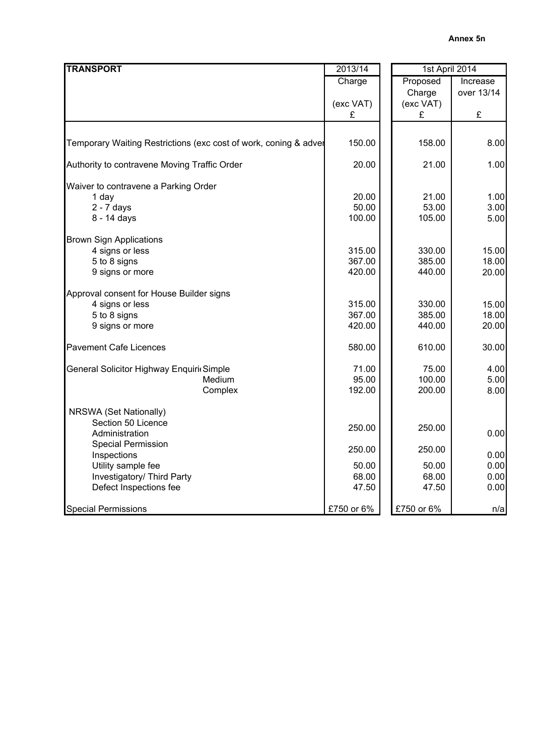| <b>TRANSPORT</b>                                                 | 2013/14    | 1st April 2014 |            |
|------------------------------------------------------------------|------------|----------------|------------|
|                                                                  | Charge     | Proposed       | Increase   |
|                                                                  |            | Charge         | over 13/14 |
|                                                                  | (exc VAT)  | (exc VAT)      |            |
|                                                                  | £          | £              | £          |
|                                                                  |            |                |            |
| Temporary Waiting Restrictions (exc cost of work, coning & adver | 150.00     | 158.00         | 8.00       |
| Authority to contravene Moving Traffic Order                     | 20.00      | 21.00          | 1.00       |
| Waiver to contravene a Parking Order                             |            |                |            |
| 1 day                                                            | 20.00      | 21.00          | 1.00       |
| $2 - 7$ days                                                     | 50.00      | 53.00          | 3.00       |
| 8 - 14 days                                                      | 100.00     | 105.00         | 5.00       |
| <b>Brown Sign Applications</b>                                   |            |                |            |
| 4 signs or less                                                  | 315.00     | 330.00         | 15.00      |
| 5 to 8 signs                                                     | 367.00     | 385.00         | 18.00      |
| 9 signs or more                                                  | 420.00     | 440.00         | 20.00      |
| Approval consent for House Builder signs                         |            |                |            |
| 4 signs or less                                                  | 315.00     | 330.00         | 15.00      |
| 5 to 8 signs                                                     | 367.00     | 385.00         | 18.00      |
| 9 signs or more                                                  | 420.00     | 440.00         | 20.00      |
| <b>Pavement Cafe Licences</b>                                    | 580.00     | 610.00         | 30.00      |
| General Solicitor Highway Enquiri Simple                         | 71.00      | 75.00          | 4.00       |
| Medium                                                           | 95.00      | 100.00         | 5.00       |
| Complex                                                          | 192.00     | 200.00         | 8.00       |
| NRSWA (Set Nationally)                                           |            |                |            |
| Section 50 Licence                                               | 250.00     | 250.00         |            |
| Administration                                                   |            |                | 0.00       |
| <b>Special Permission</b>                                        | 250.00     | 250.00         |            |
| Inspections                                                      |            |                | 0.00       |
| Utility sample fee                                               | 50.00      | 50.00          | 0.00       |
| Investigatory/ Third Party                                       | 68.00      | 68.00          | 0.00       |
| Defect Inspections fee                                           | 47.50      | 47.50          | 0.00       |
| <b>Special Permissions</b>                                       | £750 or 6% | £750 or 6%     | n/a        |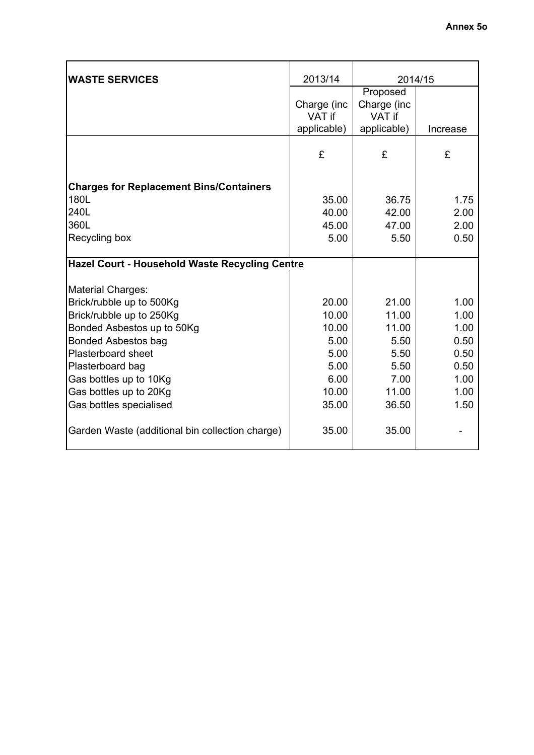| <b>WASTE SERVICES</b>                           | 2013/14                              | 2014/15                                          |          |
|-------------------------------------------------|--------------------------------------|--------------------------------------------------|----------|
|                                                 | Charge (inc<br>VAT if<br>applicable) | Proposed<br>Charge (inc<br>VAT if<br>applicable) | Increase |
|                                                 |                                      |                                                  |          |
|                                                 | £                                    | £                                                | £        |
| <b>Charges for Replacement Bins/Containers</b>  |                                      |                                                  |          |
| 180L                                            | 35.00                                | 36.75                                            | 1.75     |
| 240L                                            | 40.00                                | 42.00                                            | 2.00     |
| 360L                                            | 45.00                                | 47.00                                            | 2.00     |
| Recycling box                                   | 5.00                                 | 5.50                                             | 0.50     |
| Hazel Court - Household Waste Recycling Centre  |                                      |                                                  |          |
| <b>Material Charges:</b>                        |                                      |                                                  |          |
| Brick/rubble up to 500Kg                        | 20.00                                | 21.00                                            | 1.00     |
| Brick/rubble up to 250Kg                        | 10.00                                | 11.00                                            | 1.00     |
| Bonded Asbestos up to 50Kg                      | 10.00                                | 11.00                                            | 1.00     |
| <b>Bonded Asbestos bag</b>                      | 5.00                                 | 5.50                                             | 0.50     |
| <b>Plasterboard sheet</b>                       | 5.00                                 | 5.50                                             | 0.50     |
| Plasterboard bag                                | 5.00                                 | 5.50                                             | 0.50     |
| Gas bottles up to 10Kg                          | 6.00                                 | 7.00                                             | 1.00     |
| Gas bottles up to 20Kg                          | 10.00                                | 11.00                                            | 1.00     |
| Gas bottles specialised                         | 35.00                                | 36.50                                            | 1.50     |
| Garden Waste (additional bin collection charge) | 35.00                                | 35.00                                            |          |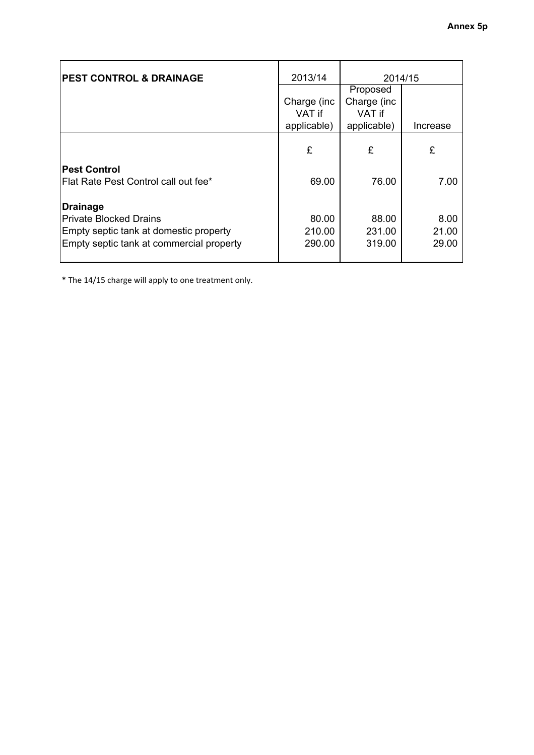| <b>PEST CONTROL &amp; DRAINAGE</b>       | 2013/14                | 2014/15                |          |
|------------------------------------------|------------------------|------------------------|----------|
|                                          |                        | Proposed               |          |
|                                          | Charge (inc.<br>VAT if | Charge (inc.<br>VAT if |          |
|                                          | applicable)            | applicable)            | Increase |
|                                          | £                      | £                      | £        |
| <b>Pest Control</b>                      |                        |                        |          |
| Flat Rate Pest Control call out fee*     | 69.00                  | 76.00                  | 7.00     |
| <b>Drainage</b>                          |                        |                        |          |
| <b>Private Blocked Drains</b>            | 80.00                  | 88.00                  | 8.00     |
| Empty septic tank at domestic property   | 210.00                 | 231.00                 | 21.00    |
| Empty septic tank at commercial property | 290.00                 | 319.00                 | 29.00    |

\* The 14/15 charge will apply to one treatment only.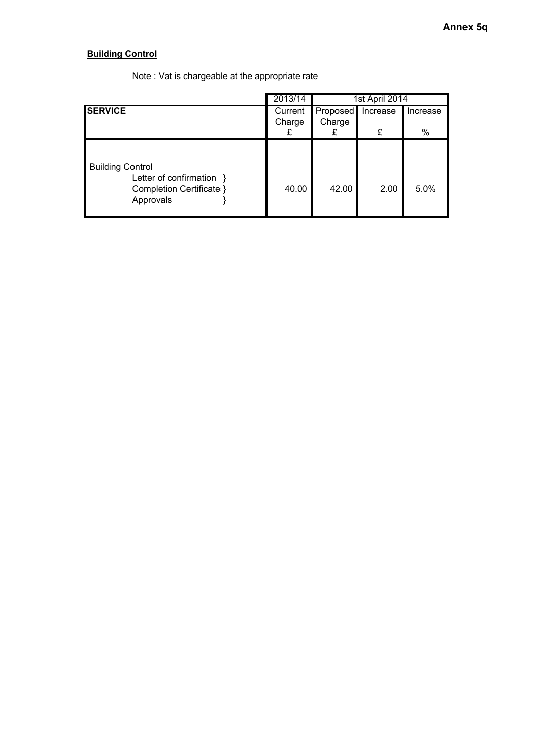### **Building Control**

|                                                                                               | 2013/14     | 1st April 2014 |          |          |  |  |
|-----------------------------------------------------------------------------------------------|-------------|----------------|----------|----------|--|--|
| <b>SERVICE</b>                                                                                | Current     | Proposed       | Increase | Increase |  |  |
|                                                                                               | Charge<br>£ | Charge         | £        | $\%$     |  |  |
| <b>Building Control</b><br>Letter of confirmation }<br>Completion Certificate: }<br>Approvals | 40.00       | 42.00          | 2.00     | 5.0%     |  |  |

Note : Vat is chargeable at the appropriate rate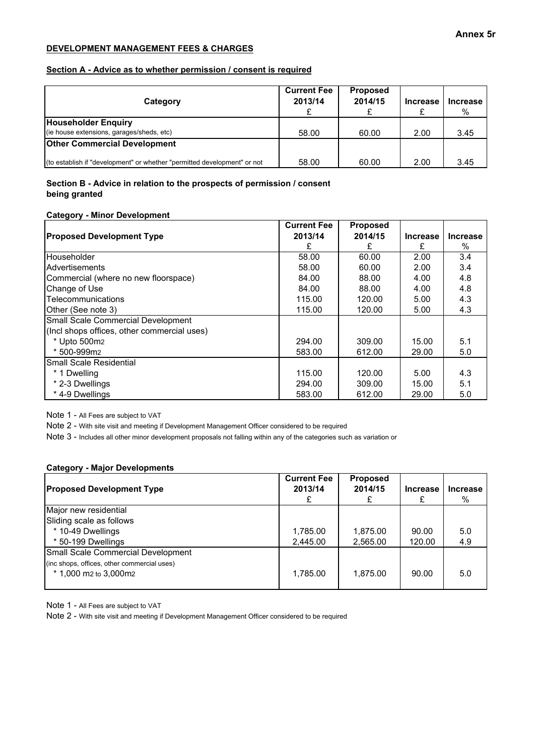#### **DEVELOPMENT MANAGEMENT FEES & CHARGES**

#### **Section A - Advice as to whether permission / consent is required**

| Category                                                                 | <b>Current Fee</b><br>2013/14 | <b>Proposed</b><br>2014/15 | <b>Increase</b> | <b>Increase</b><br>% |
|--------------------------------------------------------------------------|-------------------------------|----------------------------|-----------------|----------------------|
| <b>Householder Enquiry</b><br>(ie house extensions, garages/sheds, etc)  | 58.00                         | 60.00                      | 2.00            | 3.45                 |
| <b>Other Commercial Development</b>                                      |                               |                            |                 |                      |
| (to establish if "development" or whether "permitted development" or not | 58.00                         | 60.00                      | 2.00            | 3.45                 |

#### **Section B - Advice in relation to the prospects of permission / consent being granted**

#### **Category - Minor Development**

|                                             | <b>Current Fee</b> | <b>Proposed</b> |                 |                 |
|---------------------------------------------|--------------------|-----------------|-----------------|-----------------|
| <b>Proposed Development Type</b>            | 2013/14            | 2014/15         | <b>Increase</b> | <b>Increase</b> |
|                                             |                    |                 | £               | $\%$            |
| Householder                                 | 58.00              | 60.00           | 2.00            | 3.4             |
| <b>Advertisements</b>                       | 58.00              | 60.00           | 2.00            | 3.4             |
| Commercial (where no new floorspace)        | 84.00              | 88.00           | 4.00            | 4.8             |
| Change of Use                               | 84.00              | 88.00           | 4.00            | 4.8             |
| <b>ITelecommunications</b>                  | 115.00             | 120.00          | 5.00            | 4.3             |
| Other (See note 3)                          | 115.00             | 120.00          | 5.00            | 4.3             |
| Small Scale Commercial Development          |                    |                 |                 |                 |
| (Incl shops offices, other commercial uses) |                    |                 |                 |                 |
| * Upto 500m2                                | 294.00             | 309.00          | 15.00           | 5.1             |
| * 500-999m2                                 | 583.00             | 612.00          | 29.00           | 5.0             |
| <b>ISmall Scale Residential</b>             |                    |                 |                 |                 |
| * 1 Dwelling                                | 115.00             | 120.00          | 5.00            | 4.3             |
| * 2-3 Dwellings                             | 294.00             | 309.00          | 15.00           | 5.1             |
| *4-9 Dwellings                              | 583.00             | 612.00          | 29.00           | 5.0             |

Note 1 - All Fees are subject to VAT

Note 2 - With site visit and meeting if Development Management Officer considered to be required

Note 3 - Includes all other minor development proposals not falling within any of the categories such as variation or

#### **Category - Major Developments**

| <b>Proposed Development Type</b>                                       | <b>Current Fee</b><br>2013/14 | <b>Proposed</b><br>2014/15 | <b>Increase</b> | <b>Increase</b><br>% |
|------------------------------------------------------------------------|-------------------------------|----------------------------|-----------------|----------------------|
| Major new residential                                                  |                               |                            |                 |                      |
| Sliding scale as follows                                               |                               |                            |                 |                      |
| * 10-49 Dwellings                                                      | 1,785.00                      | 1,875.00                   | 90.00           | 5.0                  |
| * 50-199 Dwellings                                                     | 2,445.00                      | 2,565.00                   | 120.00          | 4.9                  |
| Small Scale Commercial Development                                     |                               |                            |                 |                      |
| (inc shops, offices, other commercial uses)<br>$*$ 1,000 m2 to 3,000m2 | 1,785.00                      | 1.875.00                   | 90.00           | 5.0                  |

Note 1 - All Fees are subject to VAT

Note 2 - With site visit and meeting if Development Management Officer considered to be required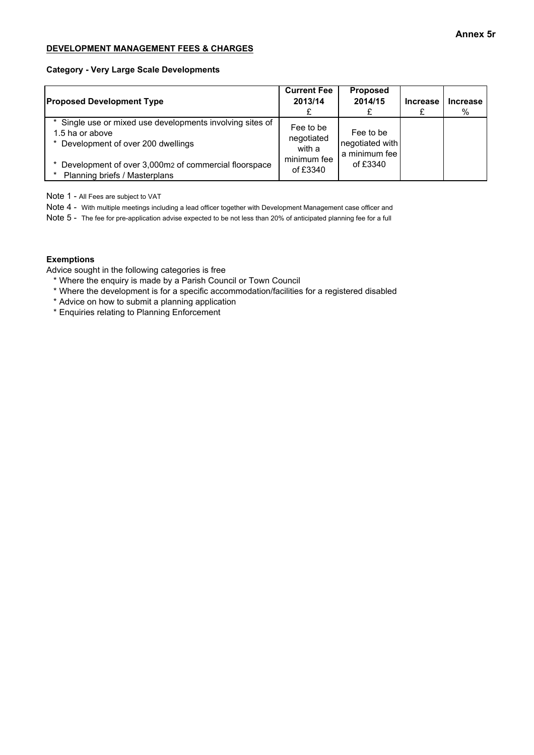#### **DEVELOPMENT MANAGEMENT FEES & CHARGES**

#### **Category - Very Large Scale Developments**

| <b>Proposed Development Type</b>                                                                                  | <b>Current Fee</b><br>2013/14     | <b>Proposed</b><br>2014/15                    | <b>Increase</b> | <b>Increase</b><br>% |
|-------------------------------------------------------------------------------------------------------------------|-----------------------------------|-----------------------------------------------|-----------------|----------------------|
| Single use or mixed use developments involving sites of<br>1.5 ha or above<br>* Development of over 200 dwellings | Fee to be<br>negotiated<br>with a | Fee to be<br>negotiated with<br>a minimum fee |                 |                      |
| Development of over 3,000m2 of commercial floorspace<br>Planning briefs / Masterplans                             | minimum fee<br>of £3340           | of £3340                                      |                 |                      |

Note 1 - All Fees are subject to VAT

Note 4 - With multiple meetings including a lead officer together with Development Management case officer and

Note 5 - The fee for pre-application advise expected to be not less than 20% of anticipated planning fee for a full

#### **Exemptions**

Advice sought in the following categories is free

- \* Where the enquiry is made by a Parish Council or Town Council
- \* Where the development is for a specific accommodation/facilities for a registered disabled
- \* Advice on how to submit a planning application
- \* Enquiries relating to Planning Enforcement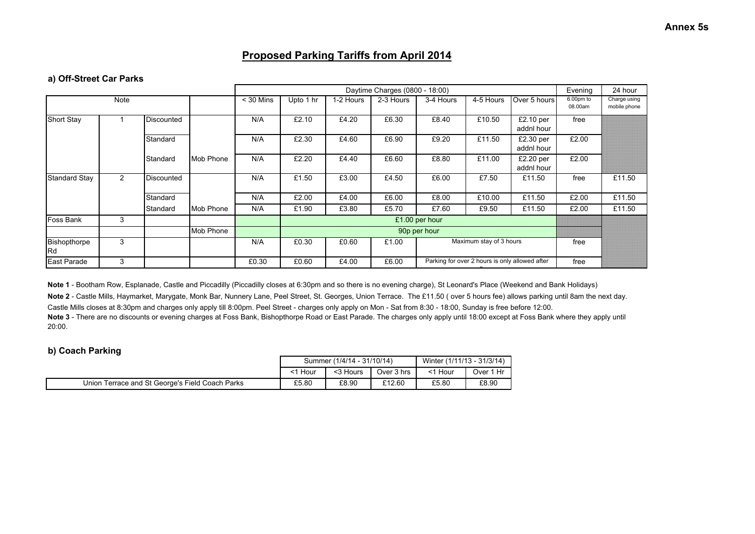### **Proposed Parking Tariffs from April 2014**

#### **a) Off-Street Car Parks**

|                           |                |                   |           |             |           | Daytime Charges (0800 - 18:00) |           |                                                                |                                                |                           |       |                              |
|---------------------------|----------------|-------------------|-----------|-------------|-----------|--------------------------------|-----------|----------------------------------------------------------------|------------------------------------------------|---------------------------|-------|------------------------------|
|                           | Note           |                   |           | $<$ 30 Mins | Upto 1 hr | 1-2 Hours                      | 2-3 Hours | 6.00pm to<br>Over 5 hours<br>3-4 Hours<br>4-5 Hours<br>08.00am |                                                |                           |       | Charge using<br>mobile phone |
| <b>Short Stay</b>         |                | <b>Discounted</b> |           | N/A         | £2.10     | £4.20                          | £6.30     | £8.40                                                          | £10.50                                         | $£2.10$ per<br>addnl hour | free  |                              |
|                           |                | Standard          |           | N/A         | £2.30     | £4.60                          | £6.90     | £9.20                                                          | £11.50                                         | £2.30 per<br>addnl hour   | £2.00 |                              |
|                           |                | Standard          | Mob Phone | N/A         | £2.20     | £4.40                          | £6.60     | £8.80                                                          | £11.00                                         | $£2.20$ per<br>addnl hour | £2.00 |                              |
| <b>Standard Stay</b>      | $\overline{2}$ | Discounted        |           | N/A         | £1.50     | £3.00                          | £4.50     | £6.00                                                          | £7.50                                          | £11.50                    | free  | £11.50                       |
|                           |                | Standard          |           | N/A         | £2.00     | £4.00                          | £6.00     | £8.00                                                          | £10.00                                         | £11.50                    | £2.00 | £11.50                       |
|                           |                | Standard          | Mob Phone | N/A         | £1.90     | £3.80                          | £5.70     | £7.60                                                          | £9.50                                          | £11.50                    | £2.00 | £11.50                       |
| Foss Bank                 | 3              |                   |           |             |           |                                |           | £1.00 per hour                                                 |                                                |                           |       |                              |
|                           |                |                   | Mob Phone |             |           |                                |           | 90p per hour                                                   |                                                |                           |       |                              |
| Bishopthorpe<br><b>Rd</b> | 3              |                   |           | N/A         | £0.30     | £0.60                          | £1.00     | Maximum stay of 3 hours                                        |                                                |                           | free  |                              |
| East Parade               | 3              |                   |           | £0.30       | £0.60     | £4.00                          | £6.00     |                                                                | Parking for over 2 hours is only allowed after |                           | free  |                              |

**Note 1** - Bootham Row, Esplanade, Castle and Piccadilly (Piccadilly closes at 6:30pm and so there is no evening charge), St Leonard's Place (Weekend and Bank Holidays) **Note 2** - Castle Mills, Haymarket, Marygate, Monk Bar, Nunnery Lane, Peel Street, St. Georges, Union Terrace. The £11.50 ( over 5 hours fee) allows parking until 8am the next day.Castle Mills closes at 8:30pm and charges only apply till 8:00pm. Peel Street - charges only apply on Mon - Sat from 8:30 - 18:00, Sunday is free before 12:00.Note 3 - There are no discounts or evening charges at Foss Bank, Bishopthorpe Road or East Parade. The charges only apply until 18:00 except at Foss Bank where they apply until 20:00.

#### **b) Coach Parking**

|                                                 |       | Summer (1/4/14 - 31/10/14) | Winter (1/11/13 - 31/3/14) |       |           |
|-------------------------------------------------|-------|----------------------------|----------------------------|-------|-----------|
|                                                 | Hour  | <3 Hours                   | Over 3 hrs                 | Hour  | Over 1 Hr |
| Union Terrace and St George's Field Coach Parks | £5.80 | £8.90                      | £12.60                     | £5.80 | £8.90     |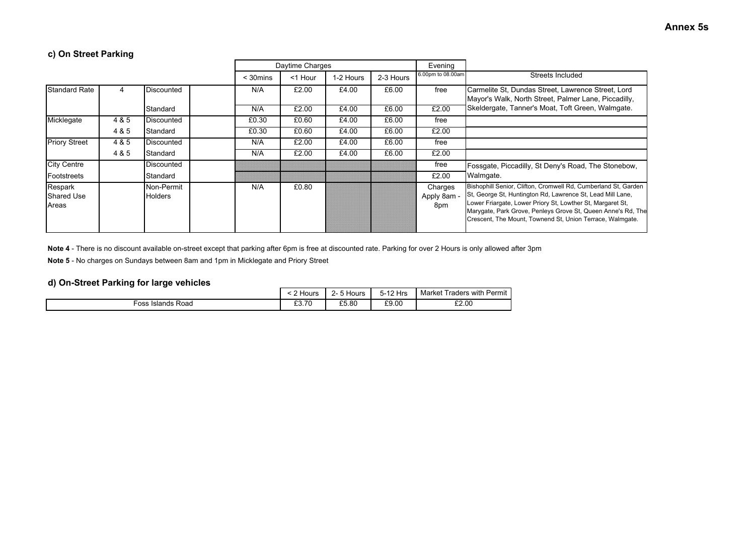### **c) On Street Parking**

|                                       |       |                              |                | Daytime Charges |           |           | Evening                       |                                                                                                                                                                                                                                                                                                                         |
|---------------------------------------|-------|------------------------------|----------------|-----------------|-----------|-----------|-------------------------------|-------------------------------------------------------------------------------------------------------------------------------------------------------------------------------------------------------------------------------------------------------------------------------------------------------------------------|
|                                       |       |                              | $<$ 30 $m$ ins | <1 Hour         | 1-2 Hours | 2-3 Hours | 6.00pm to 08.00am             | Streets Included                                                                                                                                                                                                                                                                                                        |
| <b>Standard Rate</b>                  | 4     | Discounted                   | N/A            | £2.00           | £4.00     | £6.00     | free                          | Carmelite St. Dundas Street, Lawrence Street, Lord<br>Mayor's Walk, North Street, Palmer Lane, Piccadilly,                                                                                                                                                                                                              |
|                                       |       | Standard                     | N/A            | £2.00           | £4.00     | £6.00     | £2.00                         | Skeldergate, Tanner's Moat, Toft Green, Walmgate.                                                                                                                                                                                                                                                                       |
| Micklegate                            | 4 & 5 | Discounted                   | £0.30          | £0.60           | £4.00     | £6.00     | free                          |                                                                                                                                                                                                                                                                                                                         |
|                                       | 4 & 5 | Standard                     | £0.30          | £0.60           | £4.00     | £6.00     | £2.00                         |                                                                                                                                                                                                                                                                                                                         |
| <b>Priory Street</b>                  | 4 & 5 | Discounted                   | N/A            | £2.00           | £4.00     | £6.00     | free                          |                                                                                                                                                                                                                                                                                                                         |
|                                       | 4 & 5 | Standard                     | N/A            | £2.00           | £4.00     | £6.00     | £2.00                         |                                                                                                                                                                                                                                                                                                                         |
| <b>City Centre</b>                    |       | Discounted                   |                |                 |           |           | free                          | Fossgate, Piccadilly, St Deny's Road, The Stonebow,                                                                                                                                                                                                                                                                     |
| Footstreets                           |       | Standard                     |                |                 |           |           | £2.00                         | Walmgate.                                                                                                                                                                                                                                                                                                               |
| Respark<br><b>Shared Use</b><br>Areas |       | Non-Permit<br><b>Holders</b> | N/A            | £0.80           |           |           | Charges<br>Apply 8am -<br>8pm | Bishophill Senior, Clifton, Cromwell Rd, Cumberland St, Garden<br>St, George St, Huntington Rd, Lawrence St, Lead Mill Lane,<br>Lower Friargate, Lower Priory St, Lowther St, Margaret St,<br>Marygate, Park Grove, Penleys Grove St, Queen Anne's Rd, The<br>Crescent, The Mount, Townend St, Union Terrace, Walmgate. |

**Note 4** - There is no discount available on-street except that parking after 6pm is free at discounted rate. Parking for over 2 Hours is only allowed after 3pm

**Note 5** - No charges on Sundays between 8am and 1pm in Micklegate and Priory Street

### **d) On-Street Parking for large vehicles**

|                      | Hours           | $ -$<br>-<br>Hours<br>$\sim$ $\sim$ | 5-12 Hrs | <b>Traders with Permit</b><br>Market |
|----------------------|-----------------|-------------------------------------|----------|--------------------------------------|
| Islands Road<br>-oss | £3.70<br>$\sim$ | £5.80                               | £9.00    | £2.00                                |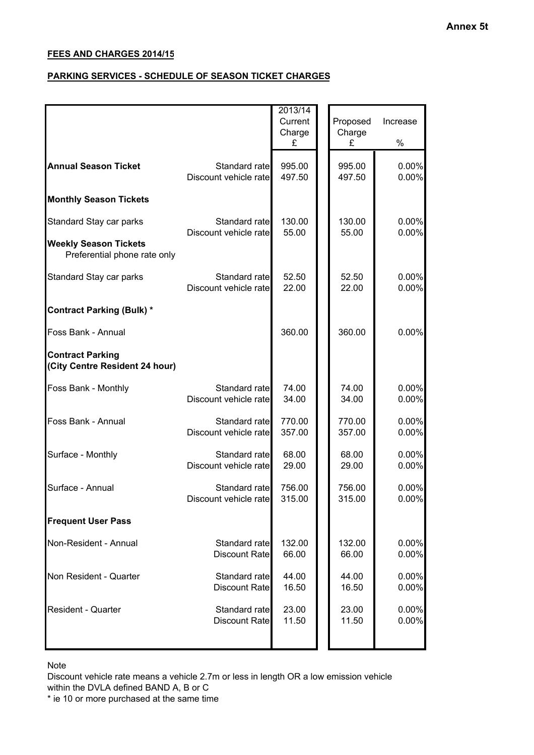### **PARKING SERVICES - SCHEDULE OF SEASON TICKET CHARGES**

|                                       | Charge                                                                                                                    |                                                                 | Charge           |                   |
|---------------------------------------|---------------------------------------------------------------------------------------------------------------------------|-----------------------------------------------------------------|------------------|-------------------|
|                                       | £                                                                                                                         |                                                                 | £                | $\%$              |
|                                       | 995.00<br>497.50                                                                                                          |                                                                 | 995.00<br>497.50 | 0.00%<br>0.00%    |
|                                       |                                                                                                                           |                                                                 |                  |                   |
| Standard rate                         | 130.00<br>55.00                                                                                                           |                                                                 | 130.00<br>55.00  | 0.00%<br>0.00%    |
|                                       |                                                                                                                           |                                                                 |                  |                   |
| Standard rate                         | 52.50<br>22.00                                                                                                            |                                                                 | 52.50<br>22.00   | 0.00%<br>0.00%    |
|                                       |                                                                                                                           |                                                                 |                  |                   |
|                                       | 360.00                                                                                                                    |                                                                 | 360.00           | 0.00%             |
|                                       |                                                                                                                           |                                                                 |                  |                   |
| Standard rate                         | 74.00<br>34.00                                                                                                            |                                                                 | 74.00<br>34.00   | 0.00%<br>0.00%    |
| Standard rate                         | 770.00<br>357.00                                                                                                          |                                                                 | 770.00<br>357.00 | 0.00%<br>0.00%    |
| Standard rate                         | 68.00<br>29.00                                                                                                            |                                                                 | 68.00<br>29.00   | 0.00%<br>0.00%    |
| Standard rate                         | 756.00<br>315.00                                                                                                          |                                                                 | 756.00<br>315.00 | 0.00%<br>0.00%    |
|                                       |                                                                                                                           |                                                                 |                  |                   |
| Standard rate<br><b>Discount Rate</b> | 132.00<br>66.00                                                                                                           |                                                                 | 132.00<br>66.00  | 0.00%<br>0.00%    |
| Standard rate<br><b>Discount Rate</b> | 44.00<br>16.50                                                                                                            |                                                                 | 44.00<br>16.50   | 0.00%<br>0.00%    |
| Standard rate<br><b>Discount Rate</b> | 23.00<br>11.50                                                                                                            |                                                                 | 23.00<br>11.50   | $0.00\%$<br>0.00% |
|                                       | Discount vehicle rate<br>Discount vehicle rate<br>Discount vehicle rate<br>Discount vehicle rate<br>Discount vehicle rate | Standard rate<br>Discount vehicle rate<br>Discount vehicle rate |                  |                   |

Note

Discount vehicle rate means a vehicle 2.7m or less in length OR a low emission vehicle within the DVLA defined BAND A, B or C

\* ie 10 or more purchased at the same time